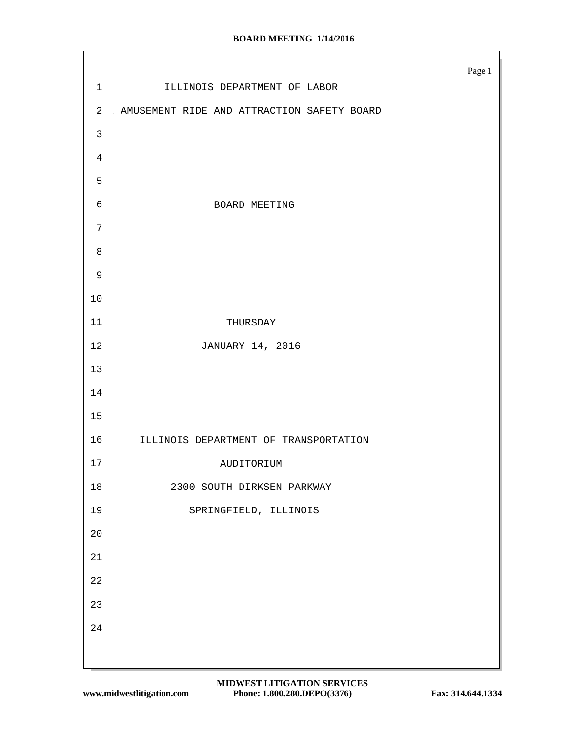|                |                                            | Page $1\,$ |
|----------------|--------------------------------------------|------------|
| $\mathbf 1$    | ILLINOIS DEPARTMENT OF LABOR               |            |
| $\overline{a}$ | AMUSEMENT RIDE AND ATTRACTION SAFETY BOARD |            |
| $\mathbf{3}$   |                                            |            |
| $\overline{4}$ |                                            |            |
| 5              |                                            |            |
| $\epsilon$     | BOARD MEETING                              |            |
| $\overline{7}$ |                                            |            |
| 8              |                                            |            |
| $\mathsf 9$    |                                            |            |
| $10$           |                                            |            |
| 11             | THURSDAY                                   |            |
| 12             | JANUARY 14, 2016                           |            |
| $13$           |                                            |            |
| 14             |                                            |            |
| 15             |                                            |            |
| 16             | ILLINOIS DEPARTMENT OF TRANSPORTATION      |            |
| $17$           | AUDITORIUM                                 |            |
| $18\,$         | 2300 SOUTH DIRKSEN PARKWAY                 |            |
| 19             | SPRINGFIELD, ILLINOIS                      |            |
| $20$           |                                            |            |
| 21             |                                            |            |
| 22             |                                            |            |
| 23             |                                            |            |
| 24             |                                            |            |
|                |                                            |            |
|                |                                            |            |

Г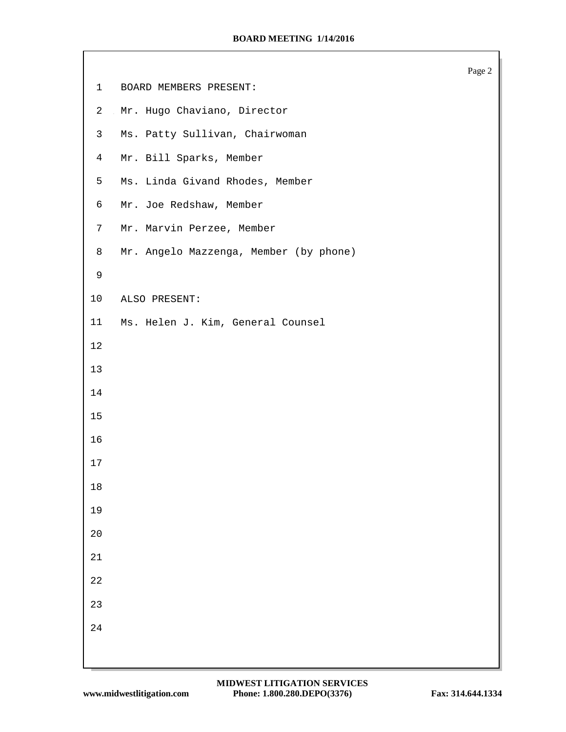|                 |                                        | Page 2 |
|-----------------|----------------------------------------|--------|
| $\mathbf{1}$    | BOARD MEMBERS PRESENT:                 |        |
| $\mathbf{2}$    | Mr. Hugo Chaviano, Director            |        |
| 3               | Ms. Patty Sullivan, Chairwoman         |        |
| $\overline{4}$  | Mr. Bill Sparks, Member                |        |
| 5               | Ms. Linda Givand Rhodes, Member        |        |
| 6               | Mr. Joe Redshaw, Member                |        |
| $7\phantom{.0}$ | Mr. Marvin Perzee, Member              |        |
| 8               | Mr. Angelo Mazzenga, Member (by phone) |        |
| $\mathsf 9$     |                                        |        |
| 10              | ALSO PRESENT:                          |        |
| 11              | Ms. Helen J. Kim, General Counsel      |        |
| $1\,2$          |                                        |        |
| 13              |                                        |        |
| 14              |                                        |        |
| 15              |                                        |        |
| 16              |                                        |        |
| 17              |                                        |        |
| $18\,$          |                                        |        |
| 19              |                                        |        |
| $20$            |                                        |        |
| $21\,$          |                                        |        |
| 22              |                                        |        |
| 23              |                                        |        |
| 24              |                                        |        |
|                 |                                        |        |
|                 |                                        |        |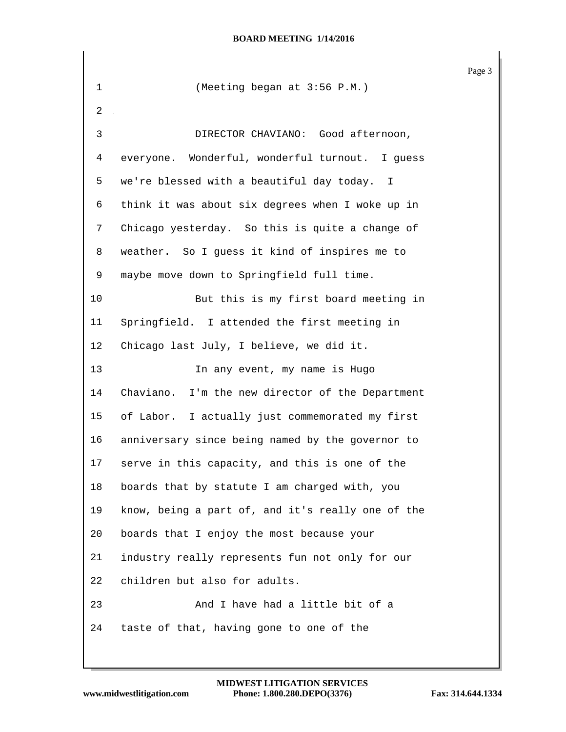|         |                                                   | Page 3 |
|---------|---------------------------------------------------|--------|
| 1       | (Meeting began at 3:56 P.M.)                      |        |
| 2       |                                                   |        |
| 3       | DIRECTOR CHAVIANO: Good afternoon,                |        |
| 4       | everyone. Wonderful, wonderful turnout. I guess   |        |
| 5       | we're blessed with a beautiful day today. I       |        |
| 6       | think it was about six degrees when I woke up in  |        |
| 7       | Chicago yesterday. So this is quite a change of   |        |
| 8       | weather. So I guess it kind of inspires me to     |        |
| 9       | maybe move down to Springfield full time.         |        |
| 10      | But this is my first board meeting in             |        |
| 11      | Springfield. I attended the first meeting in      |        |
| $12 \,$ | Chicago last July, I believe, we did it.          |        |
| 13      | In any event, my name is Hugo                     |        |
| 14      | Chaviano. I'm the new director of the Department  |        |
| 15      | of Labor. I actually just commemorated my first   |        |
| 16      | anniversary since being named by the governor to  |        |
| 17      | serve in this capacity, and this is one of the    |        |
| 18      | boards that by statute I am charged with, you     |        |
| 19      | know, being a part of, and it's really one of the |        |
| 20      | boards that I enjoy the most because your         |        |
| 21      | industry really represents fun not only for our   |        |
| 22      | children but also for adults.                     |        |
| 23      | And I have had a little bit of a                  |        |
| 24      | taste of that, having gone to one of the          |        |
|         |                                                   |        |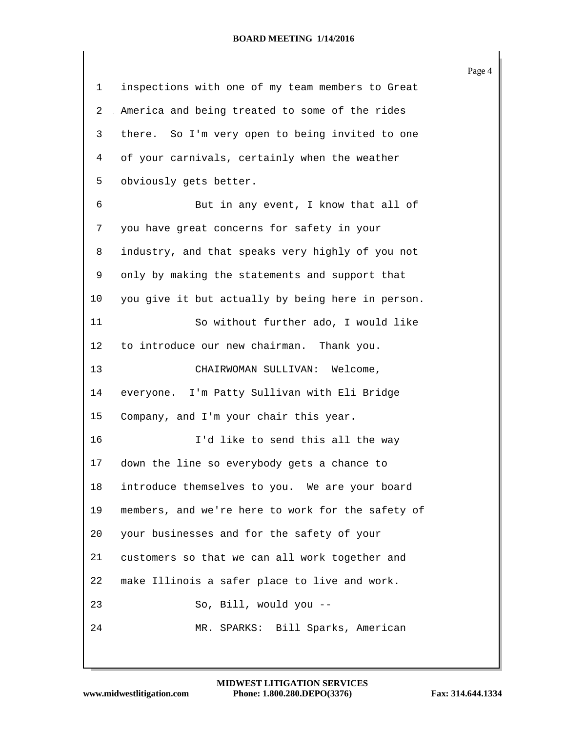|                |                                                   | Page 4 |
|----------------|---------------------------------------------------|--------|
| $\mathbf{1}$   | inspections with one of my team members to Great  |        |
| $\overline{2}$ | America and being treated to some of the rides    |        |
| 3              | there. So I'm very open to being invited to one   |        |
| 4              | of your carnivals, certainly when the weather     |        |
| 5              | obviously gets better.                            |        |
| 6              | But in any event, I know that all of              |        |
| 7              | you have great concerns for safety in your        |        |
| 8              | industry, and that speaks very highly of you not  |        |
| 9              | only by making the statements and support that    |        |
| 10             | you give it but actually by being here in person. |        |
| 11             | So without further ado, I would like              |        |
| 12             | to introduce our new chairman. Thank you.         |        |
| 13             | CHAIRWOMAN SULLIVAN: Welcome,                     |        |
| 14             | everyone. I'm Patty Sullivan with Eli Bridge      |        |
| 15             | Company, and I'm your chair this year.            |        |
| 16             | I'd like to send this all the way                 |        |
| 17             | down the line so everybody gets a chance to       |        |
| 18             | introduce themselves to you. We are your board    |        |
| 19             | members, and we're here to work for the safety of |        |
| 20             | your businesses and for the safety of your        |        |
| 21             | customers so that we can all work together and    |        |
| 22             | make Illinois a safer place to live and work.     |        |
| 23             | So, Bill, would you --                            |        |
| 24             | MR. SPARKS: Bill Sparks, American                 |        |
|                |                                                   |        |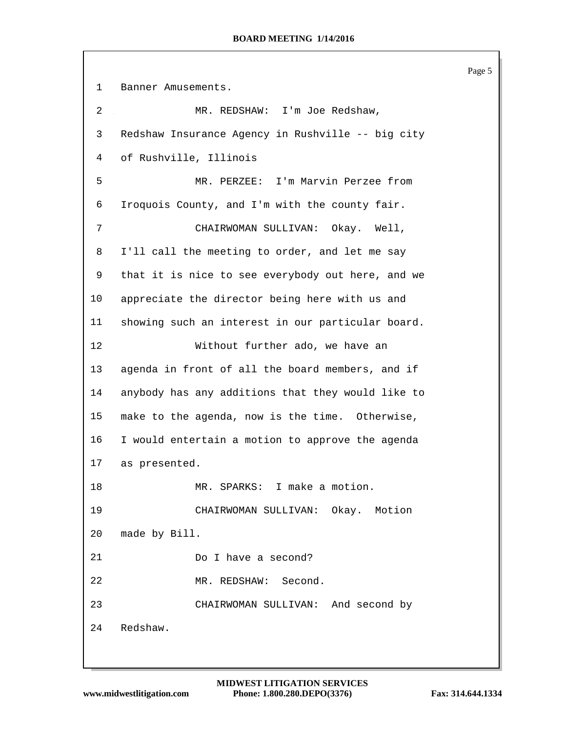Page 5 Banner Amusements. 2 MR. REDSHAW: I'm Joe Redshaw, Redshaw Insurance Agency in Rushville -- big city of Rushville, Illinois MR. PERZEE: I'm Marvin Perzee from Iroquois County, and I'm with the county fair. CHAIRWOMAN SULLIVAN: Okay. Well, I'll call the meeting to order, and let me say that it is nice to see everybody out here, and we appreciate the director being here with us and showing such an interest in our particular board. Without further ado, we have an agenda in front of all the board members, and if anybody has any additions that they would like to make to the agenda, now is the time. Otherwise, I would entertain a motion to approve the agenda as presented. MR. SPARKS: I make a motion. CHAIRWOMAN SULLIVAN: Okay. Motion made by Bill. Do I have a second? MR. REDSHAW: Second. CHAIRWOMAN SULLIVAN: And second by Redshaw.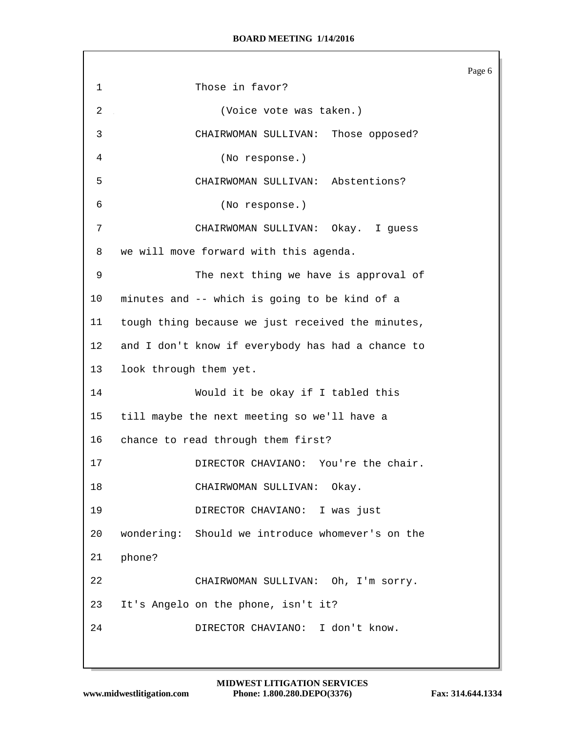|             |                                                   | Page 6 |
|-------------|---------------------------------------------------|--------|
| $\mathbf 1$ | Those in favor?                                   |        |
| 2           | (Voice vote was taken.)                           |        |
| 3           | CHAIRWOMAN SULLIVAN: Those opposed?               |        |
| 4           | (No response.)                                    |        |
| 5           | CHAIRWOMAN SULLIVAN: Abstentions?                 |        |
| 6           | (No response.)                                    |        |
| 7           | CHAIRWOMAN SULLIVAN: Okay. I guess                |        |
| 8           | we will move forward with this agenda.            |        |
| 9           | The next thing we have is approval of             |        |
| 10          | minutes and -- which is going to be kind of a     |        |
| 11          | tough thing because we just received the minutes, |        |
| 12          | and I don't know if everybody has had a chance to |        |
| 13          | look through them yet.                            |        |
| 14          | Would it be okay if I tabled this                 |        |
| 15          | till maybe the next meeting so we'll have a       |        |
| 16          | chance to read through them first?                |        |
| 17          | DIRECTOR CHAVIANO: You're the chair.              |        |
| 18          | CHAIRWOMAN SULLIVAN: Okay.                        |        |
| 19          | DIRECTOR CHAVIANO: I was just                     |        |
| 20          | wondering: Should we introduce whomever's on the  |        |
| 21          | phone?                                            |        |
| 22          | CHAIRWOMAN SULLIVAN: Oh, I'm sorry.               |        |
| 23          | It's Angelo on the phone, isn't it?               |        |
| 24          | DIRECTOR CHAVIANO: I don't know.                  |        |
|             |                                                   |        |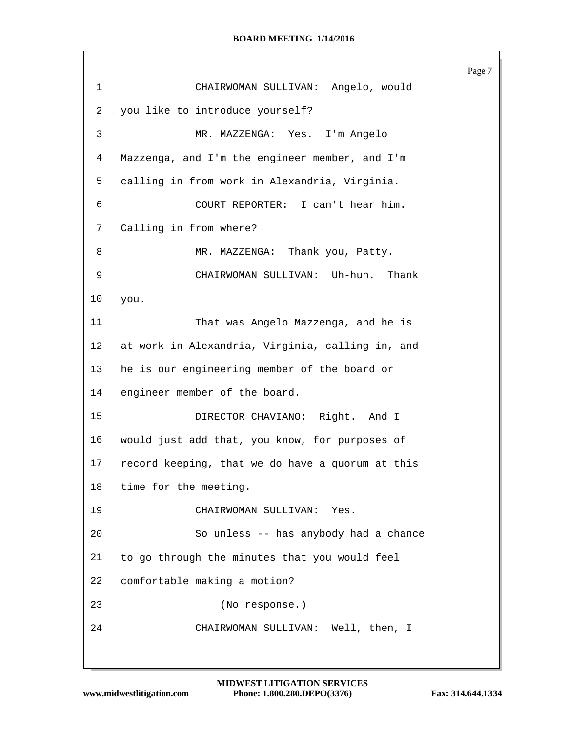Page 7 CHAIRWOMAN SULLIVAN: Angelo, would you like to introduce yourself? MR. MAZZENGA: Yes. I'm Angelo Mazzenga, and I'm the engineer member, and I'm calling in from work in Alexandria, Virginia. COURT REPORTER: I can't hear him. Calling in from where? 8 MR. MAZZENGA: Thank you, Patty. CHAIRWOMAN SULLIVAN: Uh-huh. Thank you. That was Angelo Mazzenga, and he is at work in Alexandria, Virginia, calling in, and he is our engineering member of the board or engineer member of the board. DIRECTOR CHAVIANO: Right. And I would just add that, you know, for purposes of record keeping, that we do have a quorum at this time for the meeting. CHAIRWOMAN SULLIVAN: Yes. So unless -- has anybody had a chance to go through the minutes that you would feel comfortable making a motion? (No response.) CHAIRWOMAN SULLIVAN: Well, then, I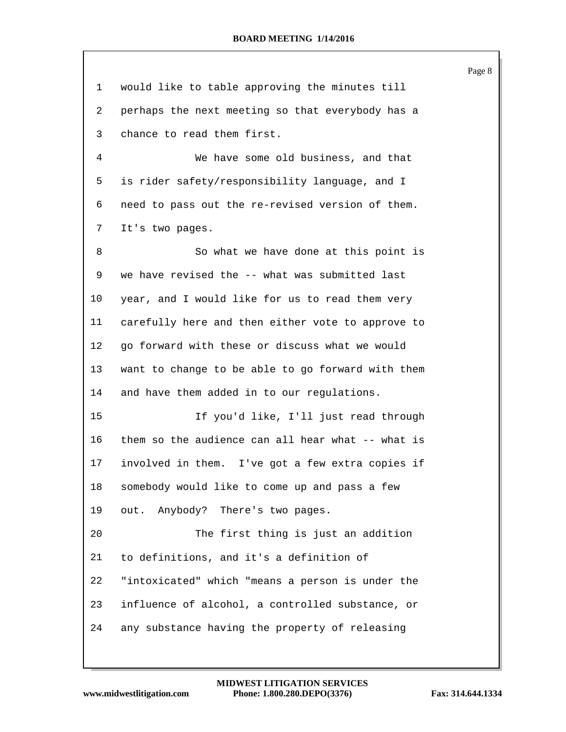| 1  | would like to table approving the minutes till    |
|----|---------------------------------------------------|
| 2  | perhaps the next meeting so that everybody has a  |
| 3  | chance to read them first.                        |
| 4  | We have some old business, and that               |
| 5  | is rider safety/responsibility language, and I    |
| 6  | need to pass out the re-revised version of them.  |
| 7  | It's two pages.                                   |
| 8  | So what we have done at this point is             |
| 9  | we have revised the -- what was submitted last    |
| 10 | year, and I would like for us to read them very   |
| 11 | carefully here and then either vote to approve to |
| 12 | go forward with these or discuss what we would    |
| 13 | want to change to be able to go forward with them |
| 14 | and have them added in to our regulations.        |
| 15 | If you'd like, I'll just read through             |
| 16 | them so the audience can all hear what -- what is |
| 17 | involved in them. I've got a few extra copies if  |
| 18 | somebody would like to come up and pass a few     |
| 19 | out. Anybody? There's two pages.                  |
| 20 | The first thing is just an addition               |
| 21 | to definitions, and it's a definition of          |
| 22 | "intoxicated" which "means a person is under the  |
| 23 | influence of alcohol, a controlled substance, or  |
| 24 | any substance having the property of releasing    |

Page 8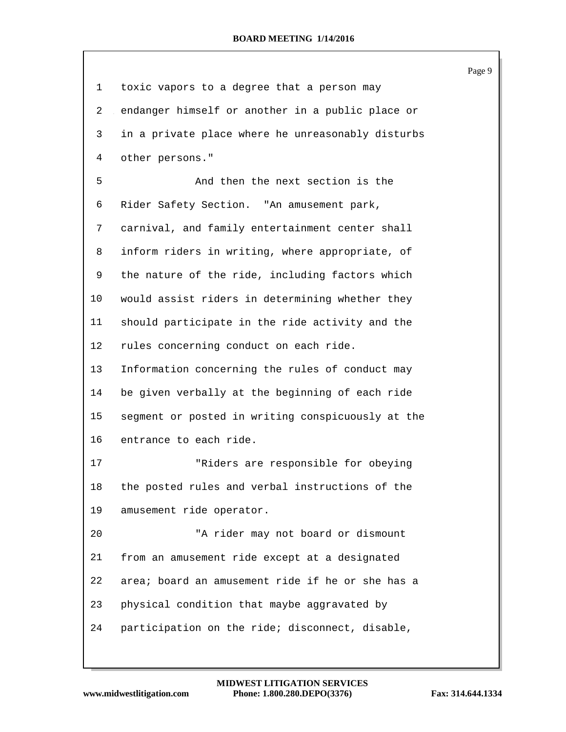| 1  | toxic vapors to a degree that a person may        |
|----|---------------------------------------------------|
| 2  | endanger himself or another in a public place or  |
| 3  | in a private place where he unreasonably disturbs |
| 4  | other persons."                                   |
| 5  | And then the next section is the                  |
| 6  | Rider Safety Section. "An amusement park,         |
| 7  | carnival, and family entertainment center shall   |
| 8  | inform riders in writing, where appropriate, of   |
| 9  | the nature of the ride, including factors which   |
| 10 | would assist riders in determining whether they   |
| 11 | should participate in the ride activity and the   |
| 12 | rules concerning conduct on each ride.            |
| 13 | Information concerning the rules of conduct may   |
| 14 | be given verbally at the beginning of each ride   |
| 15 | segment or posted in writing conspicuously at the |
| 16 | entrance to each ride.                            |
| 17 | "Riders are responsible for obeying               |
| 18 | the posted rules and verbal instructions of the   |
| 19 | amusement ride operator.                          |
| 20 | "A rider may not board or dismount                |
| 21 | from an amusement ride except at a designated     |
| 22 | area; board an amusement ride if he or she has a  |
| 23 | physical condition that maybe aggravated by       |
| 24 | participation on the ride; disconnect, disable,   |

Page 9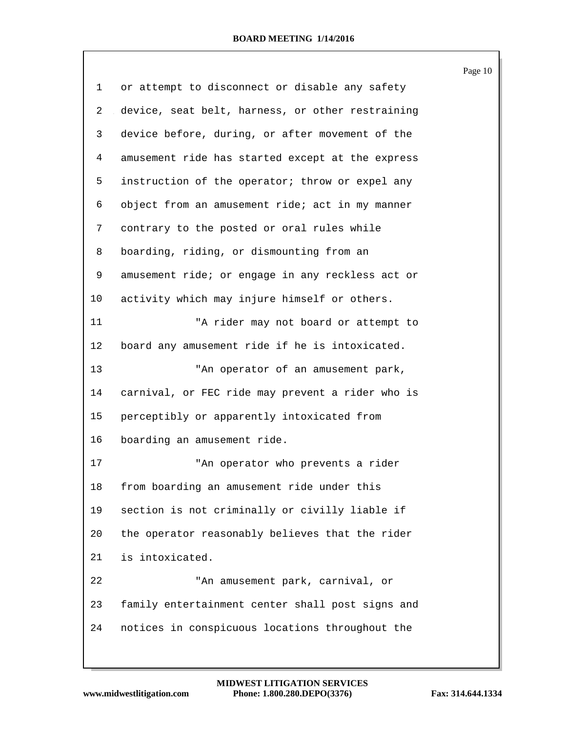|                |                                                  | Page 10 |
|----------------|--------------------------------------------------|---------|
| 1              | or attempt to disconnect or disable any safety   |         |
| $\overline{2}$ | device, seat belt, harness, or other restraining |         |
| 3              | device before, during, or after movement of the  |         |
| 4              | amusement ride has started except at the express |         |
| 5              | instruction of the operator; throw or expel any  |         |
| 6              | object from an amusement ride; act in my manner  |         |
| 7              | contrary to the posted or oral rules while       |         |
| 8              | boarding, riding, or dismounting from an         |         |
| 9              | amusement ride; or engage in any reckless act or |         |
| 10             | activity which may injure himself or others.     |         |
| 11             | "A rider may not board or attempt to             |         |
| $12 \,$        | board any amusement ride if he is intoxicated.   |         |
| 13             | "An operator of an amusement park,               |         |
| 14             | carnival, or FEC ride may prevent a rider who is |         |
| 15             | perceptibly or apparently intoxicated from       |         |
| 16             | boarding an amusement ride.                      |         |
| 17             | "An operator who prevents a rider                |         |
| 18             | from boarding an amusement ride under this       |         |
| 19             | section is not criminally or civilly liable if   |         |
| 20             | the operator reasonably believes that the rider  |         |
| 21             | is intoxicated.                                  |         |
| 22             | "An amusement park, carnival, or                 |         |
| 23             | family entertainment center shall post signs and |         |
| 24             | notices in conspicuous locations throughout the  |         |
|                |                                                  |         |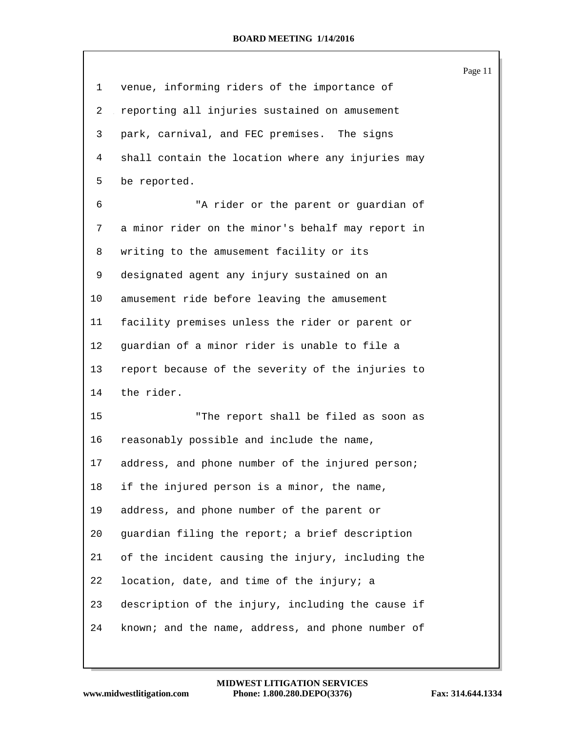|             |                                                   | Page 11 |
|-------------|---------------------------------------------------|---------|
| $\mathbf 1$ | venue, informing riders of the importance of      |         |
| 2           | reporting all injuries sustained on amusement     |         |
| 3           | park, carnival, and FEC premises. The signs       |         |
| 4           | shall contain the location where any injuries may |         |
| 5           | be reported.                                      |         |
| 6           | "A rider or the parent or guardian of             |         |
| 7           | a minor rider on the minor's behalf may report in |         |
| 8           | writing to the amusement facility or its          |         |
| 9           | designated agent any injury sustained on an       |         |
| 10          | amusement ride before leaving the amusement       |         |
| 11          | facility premises unless the rider or parent or   |         |
| 12          | guardian of a minor rider is unable to file a     |         |
| 13          | report because of the severity of the injuries to |         |
| 14          | the rider.                                        |         |
| 15          | "The report shall be filed as soon as             |         |
| 16          | reasonably possible and include the name,         |         |
| 17          | address, and phone number of the injured person;  |         |
| 18          | if the injured person is a minor, the name,       |         |
| 19          | address, and phone number of the parent or        |         |
| 20          | guardian filing the report; a brief description   |         |
| 21          | of the incident causing the injury, including the |         |
| 22          | location, date, and time of the injury; a         |         |
| 23          | description of the injury, including the cause if |         |
| 24          | known; and the name, address, and phone number of |         |
|             |                                                   |         |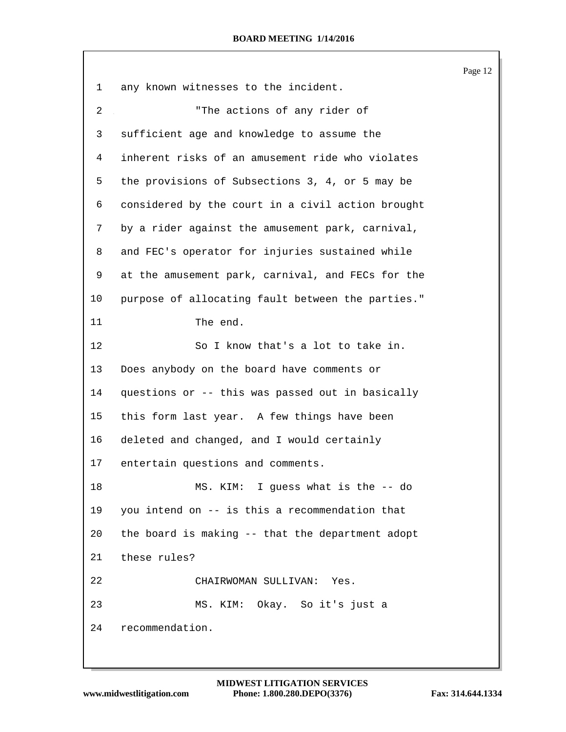|    |                                                   | Page 12 |
|----|---------------------------------------------------|---------|
| 1  | any known witnesses to the incident.              |         |
| 2  | "The actions of any rider of                      |         |
| 3  | sufficient age and knowledge to assume the        |         |
| 4  | inherent risks of an amusement ride who violates  |         |
| 5  | the provisions of Subsections 3, 4, or 5 may be   |         |
| 6  | considered by the court in a civil action brought |         |
| 7  | by a rider against the amusement park, carnival,  |         |
| 8  | and FEC's operator for injuries sustained while   |         |
| 9  | at the amusement park, carnival, and FECs for the |         |
| 10 | purpose of allocating fault between the parties." |         |
| 11 | The end.                                          |         |
| 12 | So I know that's a lot to take in.                |         |
| 13 | Does anybody on the board have comments or        |         |
| 14 | questions or -- this was passed out in basically  |         |
| 15 | this form last year. A few things have been       |         |
| 16 | deleted and changed, and I would certainly        |         |
| 17 | entertain questions and comments.                 |         |
| 18 | MS. KIM: I guess what is the -- do                |         |
| 19 | you intend on -- is this a recommendation that    |         |
| 20 | the board is making -- that the department adopt  |         |
| 21 | these rules?                                      |         |
| 22 | CHAIRWOMAN SULLIVAN: Yes.                         |         |
| 23 | MS. KIM: Okay. So it's just a                     |         |
| 24 | recommendation.                                   |         |
|    |                                                   |         |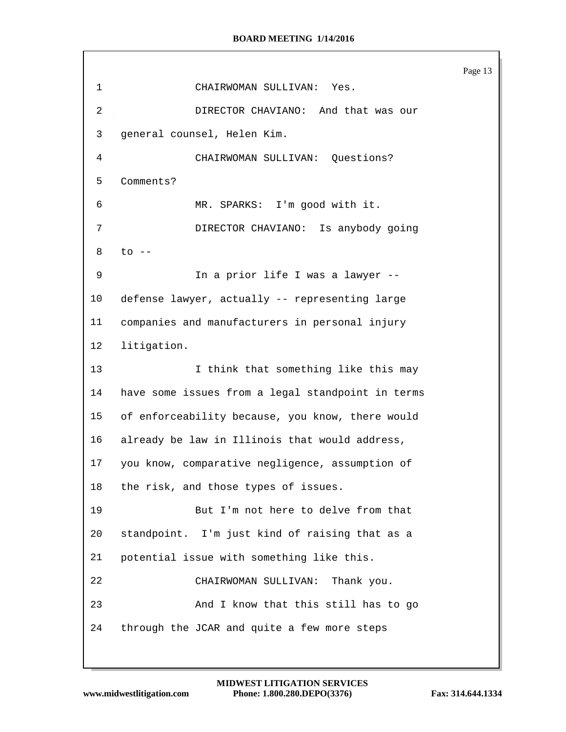Page 13 CHAIRWOMAN SULLIVAN: Yes. DIRECTOR CHAVIANO: And that was our general counsel, Helen Kim. CHAIRWOMAN SULLIVAN: Questions? Comments? MR. SPARKS: I'm good with it. DIRECTOR CHAVIANO: Is anybody going to -- 9 In a prior life I was a lawyer -- defense lawyer, actually -- representing large companies and manufacturers in personal injury litigation. 13 13 I think that something like this may have some issues from a legal standpoint in terms of enforceability because, you know, there would already be law in Illinois that would address, you know, comparative negligence, assumption of the risk, and those types of issues. But I'm not here to delve from that standpoint. I'm just kind of raising that as a potential issue with something like this. CHAIRWOMAN SULLIVAN: Thank you. And I know that this still has to go through the JCAR and quite a few more steps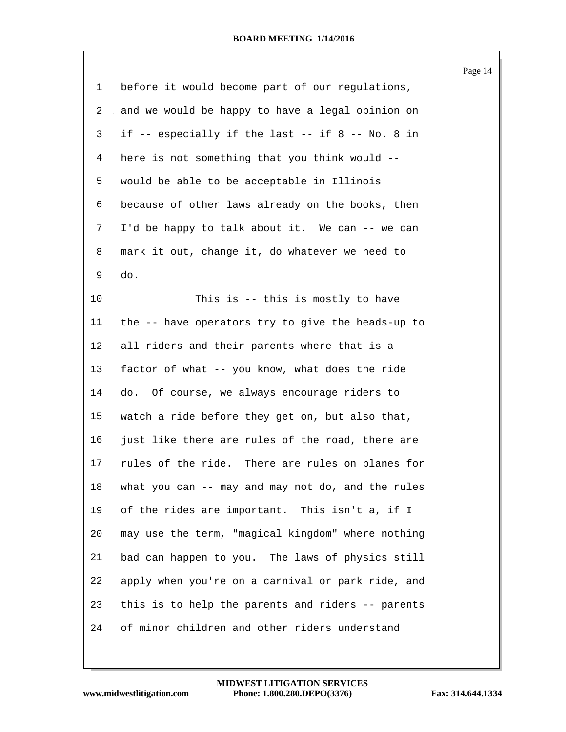| 1  | before it would become part of our regulations,   |
|----|---------------------------------------------------|
| 2  | and we would be happy to have a legal opinion on  |
| 3  | if -- especially if the last -- if 8 -- No. 8 in  |
| 4  | here is not something that you think would --     |
| 5  | would be able to be acceptable in Illinois        |
| 6  | because of other laws already on the books, then  |
| 7  | I'd be happy to talk about it. We can -- we can   |
| 8  | mark it out, change it, do whatever we need to    |
| 9  | do.                                               |
| 10 | This is -- this is mostly to have                 |
| 11 | the -- have operators try to give the heads-up to |
| 12 | all riders and their parents where that is a      |
| 13 | factor of what -- you know, what does the ride    |
| 14 | do. Of course, we always encourage riders to      |
| 15 | watch a ride before they get on, but also that,   |
| 16 | just like there are rules of the road, there are  |
| 17 | rules of the ride. There are rules on planes for  |
| 18 | what you can -- may and may not do, and the rules |
| 19 | of the rides are important. This isn't a, if I    |
| 20 | may use the term, "magical kingdom" where nothing |
| 21 | bad can happen to you. The laws of physics still  |
| 22 | apply when you're on a carnival or park ride, and |
| 23 | this is to help the parents and riders -- parents |
| 24 | of minor children and other riders understand     |

Page 14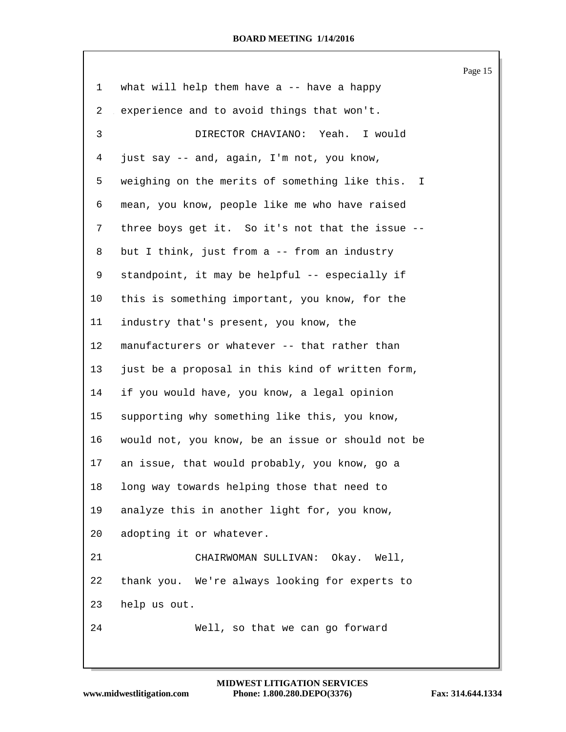Page 15 what will help them have a -- have a happy experience and to avoid things that won't. DIRECTOR CHAVIANO: Yeah. I would just say -- and, again, I'm not, you know, weighing on the merits of something like this. I mean, you know, people like me who have raised three boys get it. So it's not that the issue -- but I think, just from a -- from an industry standpoint, it may be helpful -- especially if this is something important, you know, for the industry that's present, you know, the manufacturers or whatever -- that rather than just be a proposal in this kind of written form, if you would have, you know, a legal opinion supporting why something like this, you know, would not, you know, be an issue or should not be an issue, that would probably, you know, go a long way towards helping those that need to analyze this in another light for, you know, adopting it or whatever. CHAIRWOMAN SULLIVAN: Okay. Well, thank you. We're always looking for experts to help us out. Well, so that we can go forward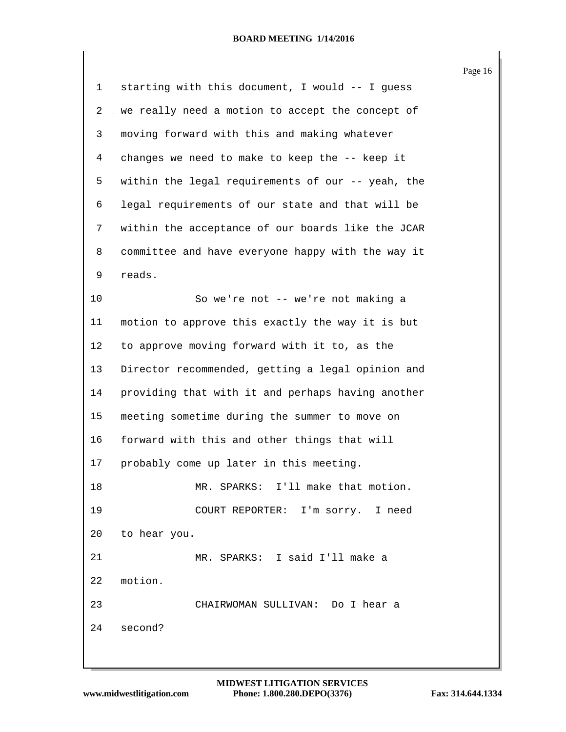|             |                                                   | Page 16 |
|-------------|---------------------------------------------------|---------|
| $\mathbf 1$ | starting with this document, I would -- I guess   |         |
| 2           | we really need a motion to accept the concept of  |         |
| 3           | moving forward with this and making whatever      |         |
| 4           | changes we need to make to keep the -- keep it    |         |
| 5           | within the legal requirements of our -- yeah, the |         |
| 6           | legal requirements of our state and that will be  |         |
| 7           | within the acceptance of our boards like the JCAR |         |
| 8           | committee and have everyone happy with the way it |         |
| 9           | reads.                                            |         |
| 10          | So we're not -- we're not making a                |         |
| 11          | motion to approve this exactly the way it is but  |         |
| $12 \,$     | to approve moving forward with it to, as the      |         |
| 13          | Director recommended, getting a legal opinion and |         |
| 14          | providing that with it and perhaps having another |         |
| 15          | meeting sometime during the summer to move on     |         |
| 16          | forward with this and other things that will      |         |
| 17          | probably come up later in this meeting.           |         |
| 18          | MR. SPARKS: I'll make that motion.                |         |
| 19          | COURT REPORTER: I'm sorry. I need                 |         |
| 20          | to hear you.                                      |         |
| 21          | MR. SPARKS: I said I'll make a                    |         |
| 22          | motion.                                           |         |
| 23          | CHAIRWOMAN SULLIVAN: Do I hear a                  |         |
| 24          | second?                                           |         |
|             |                                                   |         |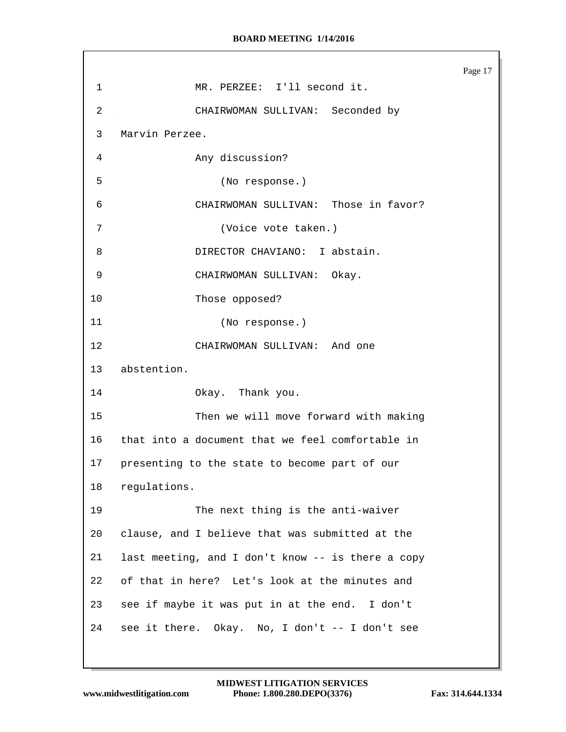Page 17 MR. PERZEE: I'll second it. CHAIRWOMAN SULLIVAN: Seconded by Marvin Perzee. Any discussion? (No response.) CHAIRWOMAN SULLIVAN: Those in favor? (Voice vote taken.) DIRECTOR CHAVIANO: I abstain. CHAIRWOMAN SULLIVAN: Okay. Those opposed? (No response.) CHAIRWOMAN SULLIVAN: And one abstention. Okay. Thank you. Then we will move forward with making that into a document that we feel comfortable in presenting to the state to become part of our regulations. The next thing is the anti-waiver clause, and I believe that was submitted at the last meeting, and I don't know -- is there a copy of that in here? Let's look at the minutes and see if maybe it was put in at the end. I don't see it there. Okay. No, I don't -- I don't see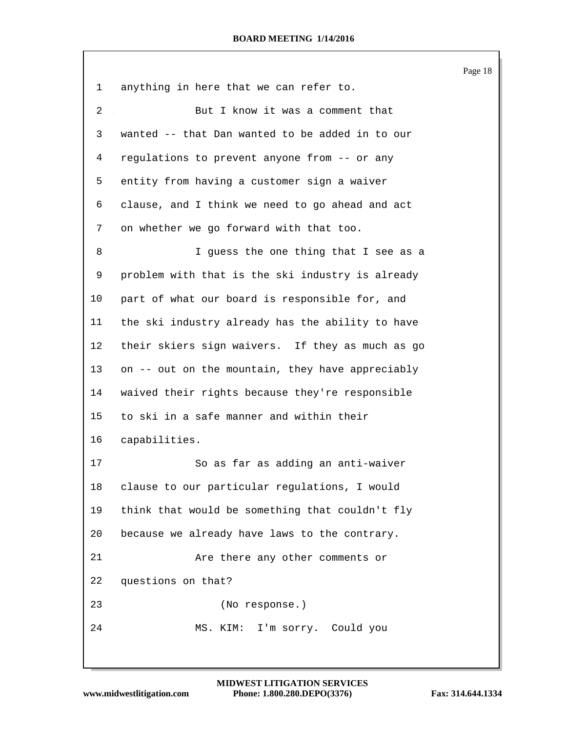|         |                                                  | Page 18 |
|---------|--------------------------------------------------|---------|
| 1       | anything in here that we can refer to.           |         |
| 2       | But I know it was a comment that                 |         |
| 3       | wanted -- that Dan wanted to be added in to our  |         |
| 4       | regulations to prevent anyone from -- or any     |         |
| 5       | entity from having a customer sign a waiver      |         |
| 6       | clause, and I think we need to go ahead and act  |         |
| 7       | on whether we go forward with that too.          |         |
| 8       | I guess the one thing that I see as a            |         |
| 9       | problem with that is the ski industry is already |         |
| 10      | part of what our board is responsible for, and   |         |
| 11      | the ski industry already has the ability to have |         |
| $12 \,$ | their skiers sign waivers. If they as much as go |         |
| 13      | on -- out on the mountain, they have appreciably |         |
| 14      | waived their rights because they're responsible  |         |
| 15      | to ski in a safe manner and within their         |         |
| 16      | capabilities.                                    |         |
| 17      | So as far as adding an anti-waiver               |         |
| 18      | clause to our particular regulations, I would    |         |
| 19      | think that would be something that couldn't fly  |         |
| 20      | because we already have laws to the contrary.    |         |
| 21      | Are there any other comments or                  |         |
| 22      | questions on that?                               |         |
| 23      | (No response.)                                   |         |
| 24      | I'm sorry. Could you<br>MS. KIM:                 |         |
|         |                                                  |         |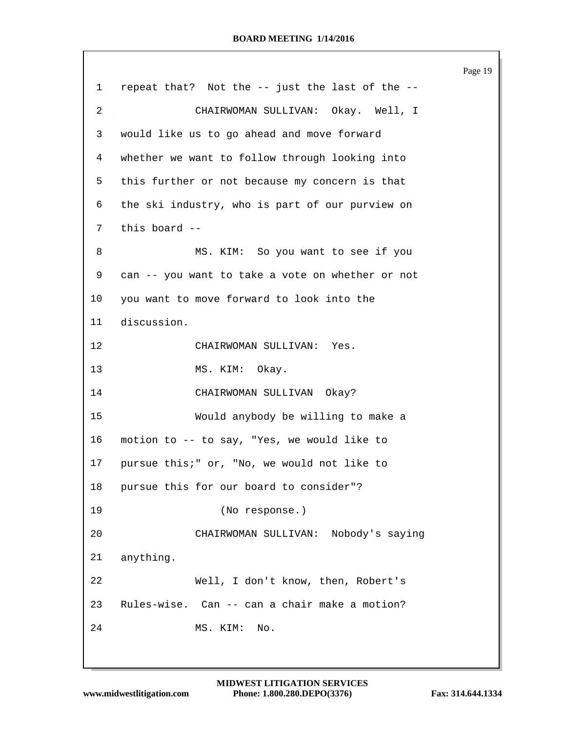Page 19 repeat that? Not the -- just the last of the -- CHAIRWOMAN SULLIVAN: Okay. Well, I would like us to go ahead and move forward whether we want to follow through looking into this further or not because my concern is that the ski industry, who is part of our purview on this board -- 8 MS. KIM: So you want to see if you can -- you want to take a vote on whether or not you want to move forward to look into the discussion. CHAIRWOMAN SULLIVAN: Yes. MS. KIM: Okay. CHAIRWOMAN SULLIVAN Okay? Would anybody be willing to make a motion to -- to say, "Yes, we would like to pursue this;" or, "No, we would not like to pursue this for our board to consider"? (No response.) CHAIRWOMAN SULLIVAN: Nobody's saying anything. Well, I don't know, then, Robert's Rules-wise. Can -- can a chair make a motion? MS. KIM: No.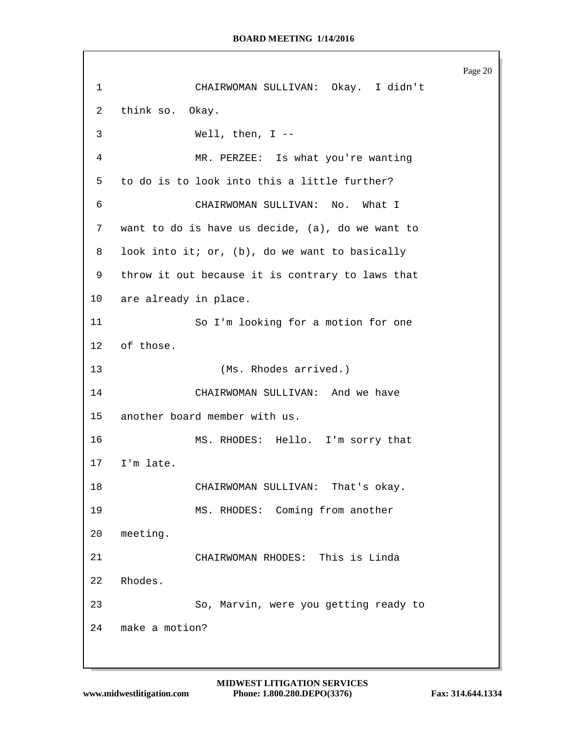Page 20 CHAIRWOMAN SULLIVAN: Okay. I didn't think so. Okay. Well, then, I -- MR. PERZEE: Is what you're wanting to do is to look into this a little further? CHAIRWOMAN SULLIVAN: No. What I want to do is have us decide, (a), do we want to look into it; or, (b), do we want to basically throw it out because it is contrary to laws that are already in place. So I'm looking for a motion for one of those. (Ms. Rhodes arrived.) CHAIRWOMAN SULLIVAN: And we have another board member with us. MS. RHODES: Hello. I'm sorry that I'm late. CHAIRWOMAN SULLIVAN: That's okay. MS. RHODES: Coming from another meeting. CHAIRWOMAN RHODES: This is Linda Rhodes. So, Marvin, were you getting ready to make a motion?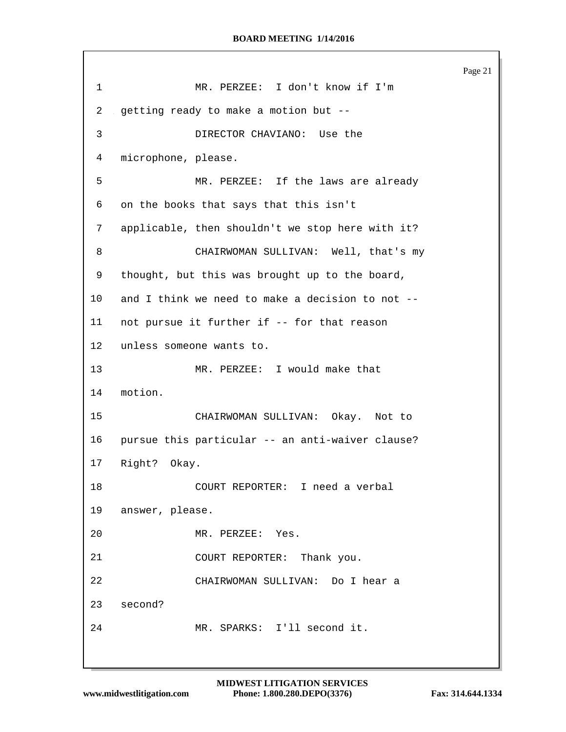Page 21 MR. PERZEE: I don't know if I'm getting ready to make a motion but -- DIRECTOR CHAVIANO: Use the microphone, please. MR. PERZEE: If the laws are already on the books that says that this isn't applicable, then shouldn't we stop here with it? CHAIRWOMAN SULLIVAN: Well, that's my thought, but this was brought up to the board, and I think we need to make a decision to not -- not pursue it further if -- for that reason unless someone wants to. MR. PERZEE: I would make that motion. CHAIRWOMAN SULLIVAN: Okay. Not to pursue this particular -- an anti-waiver clause? Right? Okay. COURT REPORTER: I need a verbal answer, please. MR. PERZEE: Yes. COURT REPORTER: Thank you. CHAIRWOMAN SULLIVAN: Do I hear a second? MR. SPARKS: I'll second it.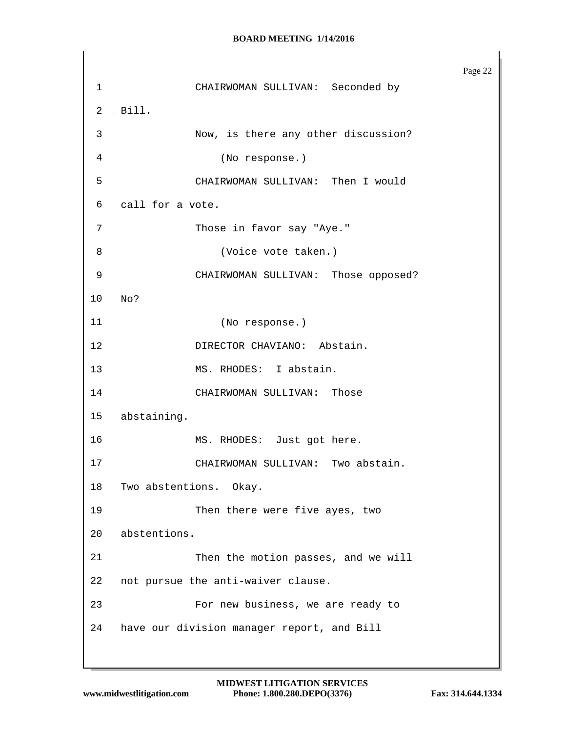Page 22 CHAIRWOMAN SULLIVAN: Seconded by Bill. Now, is there any other discussion? (No response.) CHAIRWOMAN SULLIVAN: Then I would call for a vote. 7 Those in favor say "Aye." (Voice vote taken.) CHAIRWOMAN SULLIVAN: Those opposed? No? (No response.) 12 DIRECTOR CHAVIANO: Abstain. MS. RHODES: I abstain. CHAIRWOMAN SULLIVAN: Those abstaining. MS. RHODES: Just got here. CHAIRWOMAN SULLIVAN: Two abstain. Two abstentions. Okay. Then there were five ayes, two abstentions. Then the motion passes, and we will not pursue the anti-waiver clause. For new business, we are ready to have our division manager report, and Bill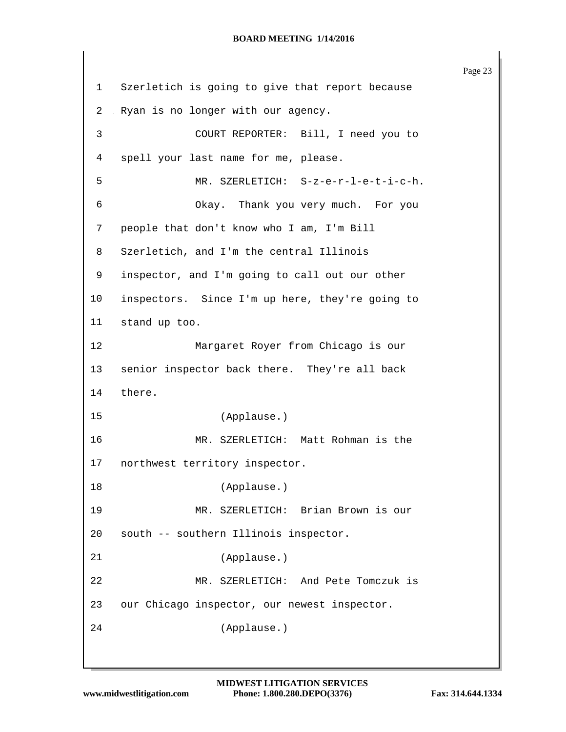Page 23 Szerletich is going to give that report because Ryan is no longer with our agency. COURT REPORTER: Bill, I need you to spell your last name for me, please. MR. SZERLETICH: S-z-e-r-l-e-t-i-c-h. Okay. Thank you very much. For you people that don't know who I am, I'm Bill Szerletich, and I'm the central Illinois inspector, and I'm going to call out our other inspectors. Since I'm up here, they're going to stand up too. Margaret Royer from Chicago is our senior inspector back there. They're all back there. (Applause.) MR. SZERLETICH: Matt Rohman is the northwest territory inspector. (Applause.) MR. SZERLETICH: Brian Brown is our south -- southern Illinois inspector. (Applause.) MR. SZERLETICH: And Pete Tomczuk is our Chicago inspector, our newest inspector. (Applause.)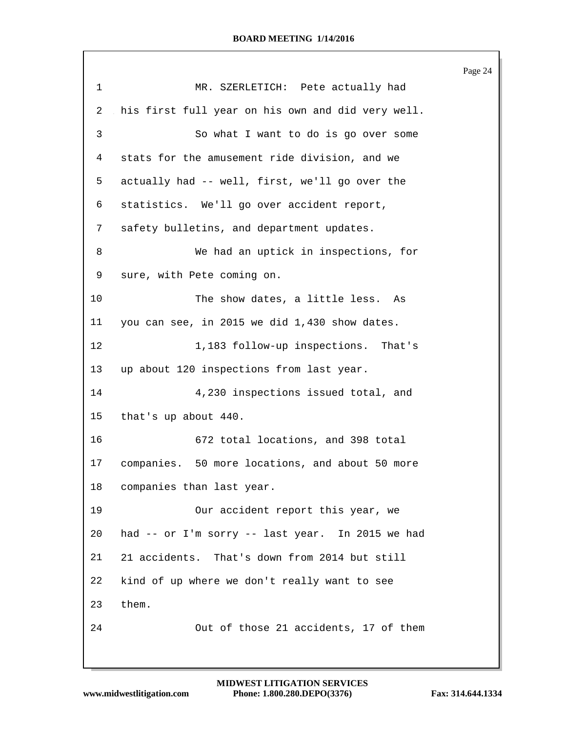|                |                                                   | Page 24 |
|----------------|---------------------------------------------------|---------|
| $\mathbf{1}$   | MR. SZERLETICH: Pete actually had                 |         |
| $\overline{2}$ | his first full year on his own and did very well. |         |
| 3              | So what I want to do is go over some              |         |
| 4              | stats for the amusement ride division, and we     |         |
| 5              | actually had -- well, first, we'll go over the    |         |
| 6              | statistics. We'll go over accident report,        |         |
| 7              | safety bulletins, and department updates.         |         |
| 8              | We had an uptick in inspections, for              |         |
| 9              | sure, with Pete coming on.                        |         |
| 10             | The show dates, a little less. As                 |         |
| 11             | you can see, in 2015 we did 1,430 show dates.     |         |
| $12 \,$        | 1,183 follow-up inspections. That's               |         |
| 13             | up about 120 inspections from last year.          |         |
| 14             | 4,230 inspections issued total, and               |         |
| 15             | that's up about 440.                              |         |
| 16             | 672 total locations, and 398 total                |         |
| 17             | companies. 50 more locations, and about 50 more   |         |
| 18             | companies than last year.                         |         |
| 19             | Our accident report this year, we                 |         |
| 20             | had -- or I'm sorry -- last year. In 2015 we had  |         |
| 21             | 21 accidents. That's down from 2014 but still     |         |
| 22             | kind of up where we don't really want to see      |         |
| 23             | them.                                             |         |
| 24             | Out of those 21 accidents, 17 of them             |         |
|                |                                                   |         |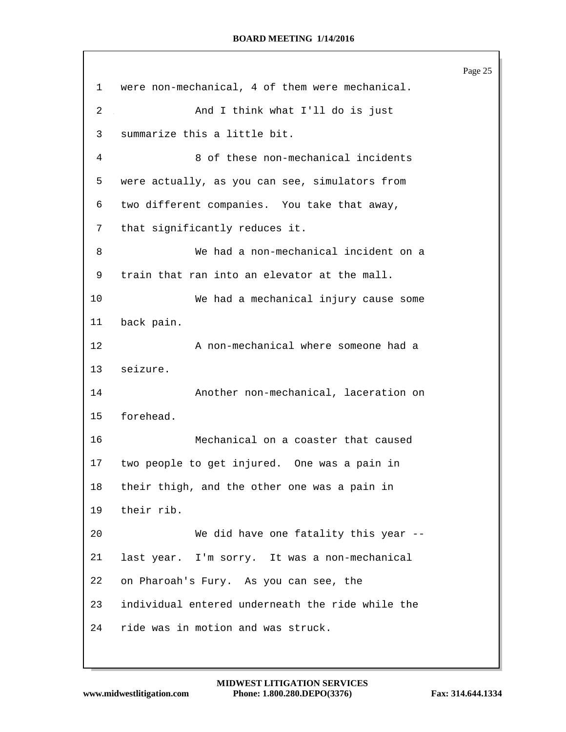```
Page 25
1 were non-mechanical, 4 of them were mechanical.
 2 And I think what I'll do is just
3 summarize this a little bit.
 4 8 of these non-mechanical incidents
5 were actually, as you can see, simulators from
6 two different companies. You take that away,
7 that significantly reduces it.
8 We had a non-mechanical incident on a
9 train that ran into an elevator at the mall.
10 We had a mechanical injury cause some
11 back pain.
12 A non-mechanical where someone had a
13 seizure.
14 Another non-mechanical, laceration on
15 forehead.
16 Mechanical on a coaster that caused
17 two people to get injured. One was a pain in
18 their thigh, and the other one was a pain in
19 their rib.
20 We did have one fatality this year --
21 last year. I'm sorry. It was a non-mechanical
22 on Pharoah's Fury. As you can see, the
23 individual entered underneath the ride while the
24 ride was in motion and was struck.
```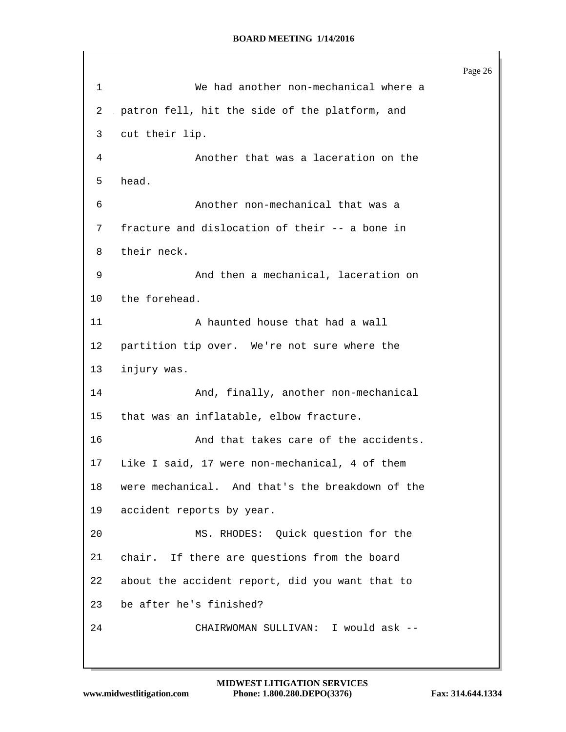Page 26 We had another non-mechanical where a patron fell, hit the side of the platform, and cut their lip. Another that was a laceration on the head. Another non-mechanical that was a fracture and dislocation of their -- a bone in their neck. And then a mechanical, laceration on the forehead. A haunted house that had a wall partition tip over. We're not sure where the injury was. And, finally, another non-mechanical that was an inflatable, elbow fracture. And that takes care of the accidents. Like I said, 17 were non-mechanical, 4 of them were mechanical. And that's the breakdown of the accident reports by year. MS. RHODES: Quick question for the chair. If there are questions from the board about the accident report, did you want that to be after he's finished? CHAIRWOMAN SULLIVAN: I would ask --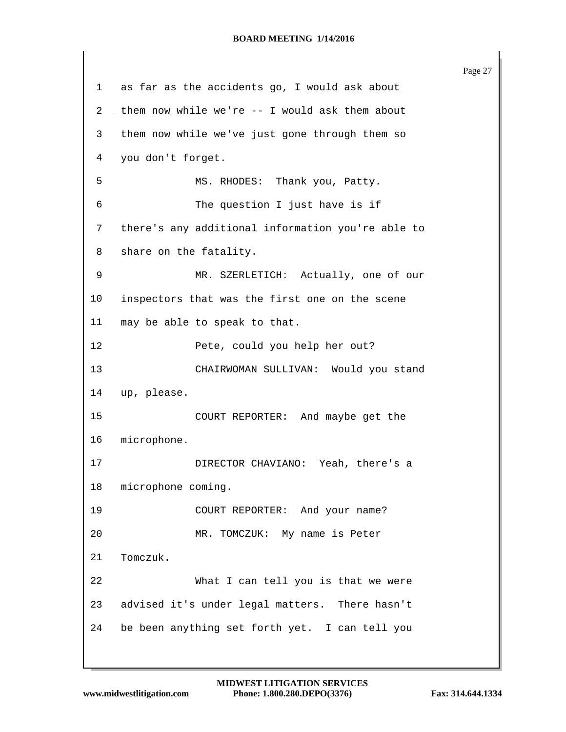Page 27 as far as the accidents go, I would ask about them now while we're -- I would ask them about them now while we've just gone through them so you don't forget. MS. RHODES: Thank you, Patty. The question I just have is if there's any additional information you're able to share on the fatality. MR. SZERLETICH: Actually, one of our inspectors that was the first one on the scene may be able to speak to that. Pete, could you help her out? CHAIRWOMAN SULLIVAN: Would you stand up, please. COURT REPORTER: And maybe get the microphone. DIRECTOR CHAVIANO: Yeah, there's a microphone coming. COURT REPORTER: And your name? MR. TOMCZUK: My name is Peter Tomczuk. What I can tell you is that we were advised it's under legal matters. There hasn't be been anything set forth yet. I can tell you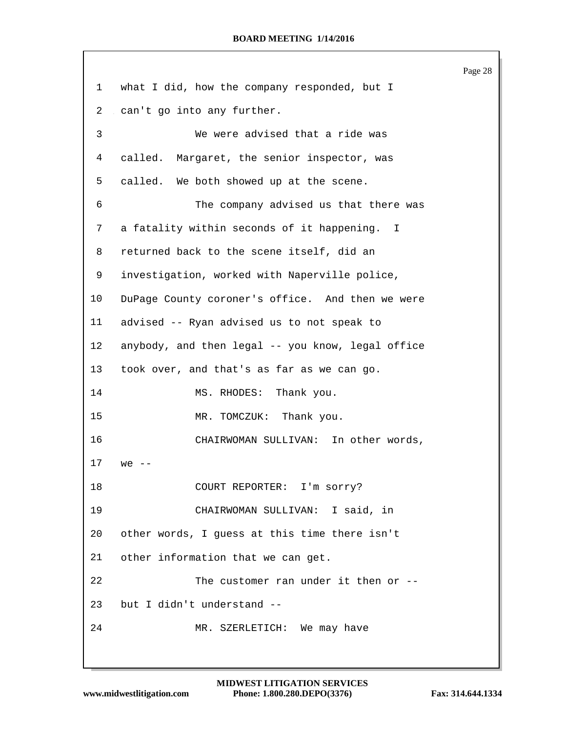Page 28 what I did, how the company responded, but I can't go into any further. We were advised that a ride was called. Margaret, the senior inspector, was called. We both showed up at the scene. The company advised us that there was a fatality within seconds of it happening. I returned back to the scene itself, did an investigation, worked with Naperville police, DuPage County coroner's office. And then we were advised -- Ryan advised us to not speak to anybody, and then legal -- you know, legal office took over, and that's as far as we can go. 14 MS. RHODES: Thank you. 15 MR. TOMCZUK: Thank you. CHAIRWOMAN SULLIVAN: In other words, we -- 18 COURT REPORTER: I'm sorry? CHAIRWOMAN SULLIVAN: I said, in other words, I guess at this time there isn't other information that we can get. The customer ran under it then or -- but I didn't understand -- MR. SZERLETICH: We may have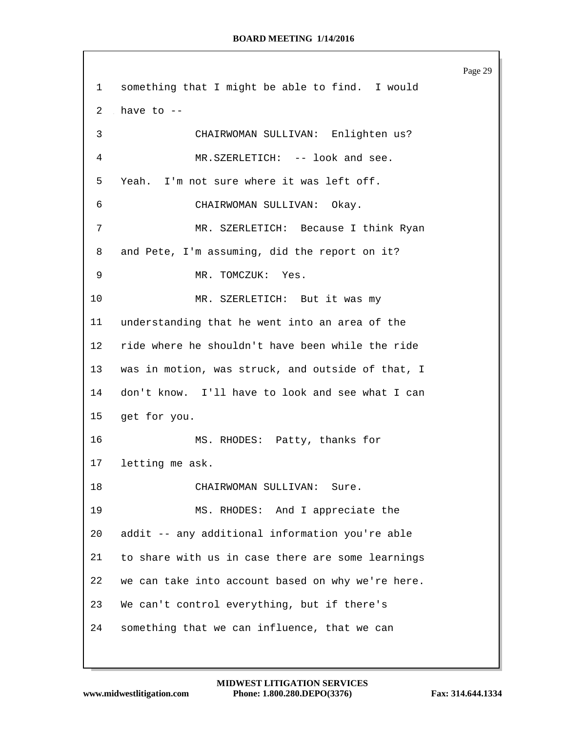Page 29 something that I might be able to find. I would 2 have to  $-$  CHAIRWOMAN SULLIVAN: Enlighten us? MR.SZERLETICH: -- look and see. Yeah. I'm not sure where it was left off. CHAIRWOMAN SULLIVAN: Okay. MR. SZERLETICH: Because I think Ryan and Pete, I'm assuming, did the report on it? 9 MR. TOMCZUK: Yes. MR. SZERLETICH: But it was my understanding that he went into an area of the ride where he shouldn't have been while the ride was in motion, was struck, and outside of that, I don't know. I'll have to look and see what I can get for you. MS. RHODES: Patty, thanks for letting me ask. 18 CHAIRWOMAN SULLIVAN: Sure. MS. RHODES: And I appreciate the addit -- any additional information you're able to share with us in case there are some learnings we can take into account based on why we're here. We can't control everything, but if there's something that we can influence, that we can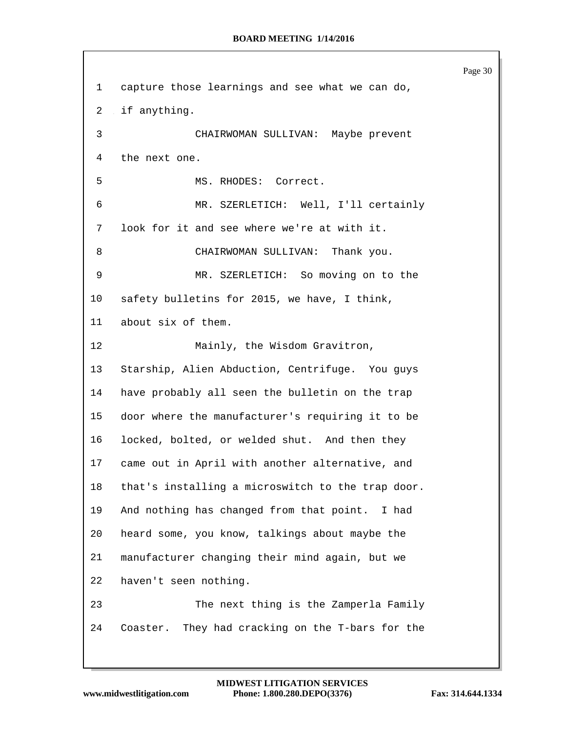|                |                                                     | Page 30 |
|----------------|-----------------------------------------------------|---------|
| $\mathbf{1}$   | capture those learnings and see what we can do,     |         |
| $\overline{2}$ | if anything.                                        |         |
| 3              | CHAIRWOMAN SULLIVAN: Maybe prevent                  |         |
| 4              | the next one.                                       |         |
| 5              | MS. RHODES: Correct.                                |         |
| 6              | MR. SZERLETICH: Well, I'll certainly                |         |
| 7              | look for it and see where we're at with it.         |         |
| 8              | CHAIRWOMAN SULLIVAN: Thank you.                     |         |
| 9              | MR. SZERLETICH: So moving on to the                 |         |
| 10             | safety bulletins for 2015, we have, I think,        |         |
| 11             | about six of them.                                  |         |
| 12             | Mainly, the Wisdom Gravitron,                       |         |
| 13             | Starship, Alien Abduction, Centrifuge. You guys     |         |
| 14             | have probably all seen the bulletin on the trap     |         |
| 15             | door where the manufacturer's requiring it to be    |         |
| 16             | locked, bolted, or welded shut. And then they       |         |
| 17             | came out in April with another alternative, and     |         |
| 18             | that's installing a microswitch to the trap door.   |         |
| 19             | And nothing has changed from that point.<br>I had   |         |
| 20             | heard some, you know, talkings about maybe the      |         |
| 21             | manufacturer changing their mind again, but we      |         |
| 22             | haven't seen nothing.                               |         |
| 23             | The next thing is the Zamperla Family               |         |
| 24             | They had cracking on the T-bars for the<br>Coaster. |         |
|                |                                                     |         |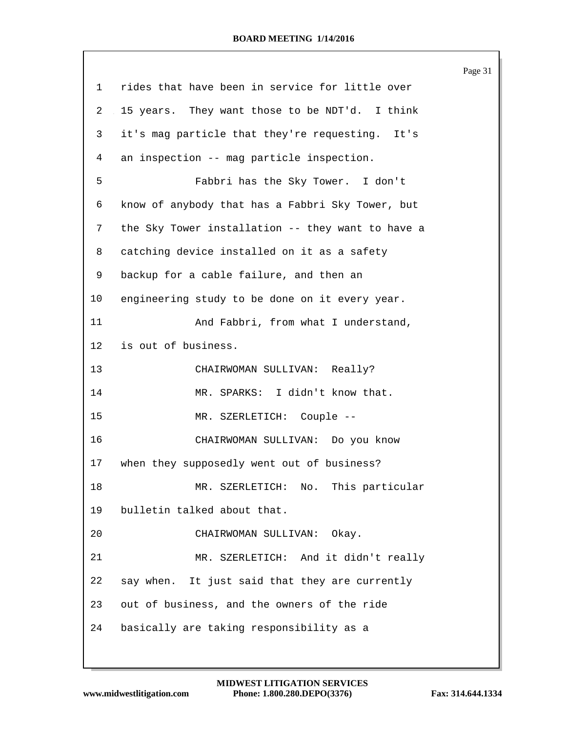|         |                                                   | Page 31 |
|---------|---------------------------------------------------|---------|
| 1       | rides that have been in service for little over   |         |
| 2       | 15 years. They want those to be NDT'd. I think    |         |
| 3       | it's mag particle that they're requesting. It's   |         |
| 4       | an inspection -- mag particle inspection.         |         |
| 5       | Fabbri has the Sky Tower. I don't                 |         |
| 6       | know of anybody that has a Fabbri Sky Tower, but  |         |
| 7       | the Sky Tower installation -- they want to have a |         |
| 8       | catching device installed on it as a safety       |         |
| 9       | backup for a cable failure, and then an           |         |
| 10      | engineering study to be done on it every year.    |         |
| 11      | And Fabbri, from what I understand,               |         |
| $12 \,$ | is out of business.                               |         |
| 13      | CHAIRWOMAN SULLIVAN: Really?                      |         |
| 14      | MR. SPARKS: I didn't know that.                   |         |
| 15      | MR. SZERLETICH: Couple --                         |         |
| 16      | CHAIRWOMAN SULLIVAN: Do you know                  |         |
| 17      | when they supposedly went out of business?        |         |
| 18      | MR. SZERLETICH: No. This particular               |         |
| 19      | bulletin talked about that.                       |         |
| 20      | CHAIRWOMAN SULLIVAN:<br>Okay.                     |         |
| 21      | MR. SZERLETICH: And it didn't really              |         |
| 22      | say when. It just said that they are currently    |         |
| 23      | out of business, and the owners of the ride       |         |
| 24      | basically are taking responsibility as a          |         |
|         |                                                   |         |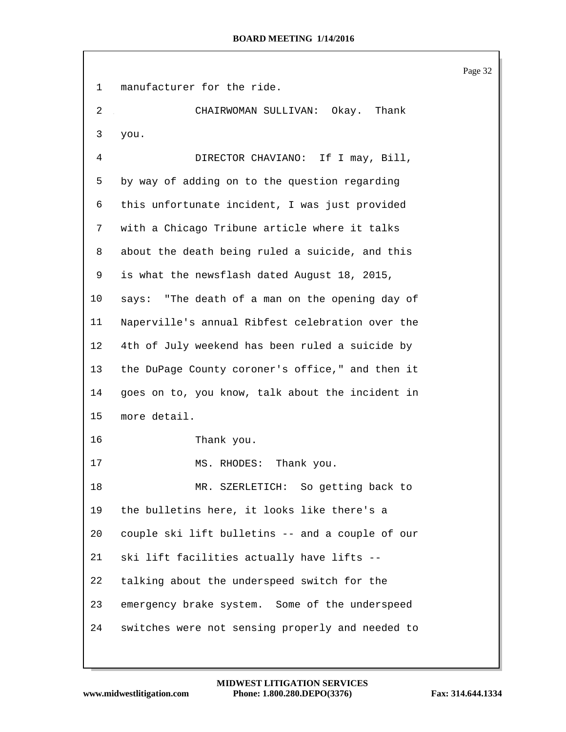Page 32 manufacturer for the ride. CHAIRWOMAN SULLIVAN: Okay. Thank you. DIRECTOR CHAVIANO: If I may, Bill, by way of adding on to the question regarding this unfortunate incident, I was just provided with a Chicago Tribune article where it talks about the death being ruled a suicide, and this is what the newsflash dated August 18, 2015, says: "The death of a man on the opening day of Naperville's annual Ribfest celebration over the 4th of July weekend has been ruled a suicide by the DuPage County coroner's office," and then it goes on to, you know, talk about the incident in more detail. Thank you. 17 MS. RHODES: Thank you. MR. SZERLETICH: So getting back to the bulletins here, it looks like there's a couple ski lift bulletins -- and a couple of our ski lift facilities actually have lifts -- talking about the underspeed switch for the emergency brake system. Some of the underspeed switches were not sensing properly and needed to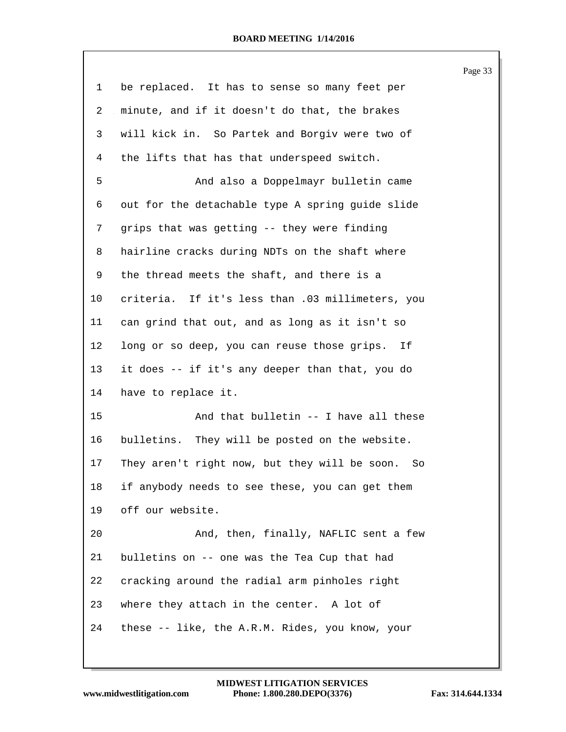|    |                                                      | Page 33 |
|----|------------------------------------------------------|---------|
| 1  | be replaced. It has to sense so many feet per        |         |
| 2  | minute, and if it doesn't do that, the brakes        |         |
| 3  | will kick in. So Partek and Borgiv were two of       |         |
| 4  | the lifts that has that underspeed switch.           |         |
| 5  | And also a Doppelmayr bulletin came                  |         |
| 6  | out for the detachable type A spring guide slide     |         |
| 7  | grips that was getting -- they were finding          |         |
| 8  | hairline cracks during NDTs on the shaft where       |         |
| 9  | the thread meets the shaft, and there is a           |         |
| 10 | criteria. If it's less than .03 millimeters, you     |         |
| 11 | can grind that out, and as long as it isn't so       |         |
| 12 | long or so deep, you can reuse those grips. If       |         |
| 13 | it does -- if it's any deeper than that, you do      |         |
| 14 | have to replace it.                                  |         |
| 15 | And that bulletin -- I have all these                |         |
| 16 | bulletins. They will be posted on the website.       |         |
| 17 | They aren't right now, but they will be soon.<br>So. |         |
| 18 | if anybody needs to see these, you can get them      |         |
| 19 | off our website.                                     |         |
| 20 | And, then, finally, NAFLIC sent a few                |         |
| 21 | bulletins on -- one was the Tea Cup that had         |         |
| 22 | cracking around the radial arm pinholes right        |         |
| 23 | where they attach in the center. A lot of            |         |
| 24 | these -- like, the A.R.M. Rides, you know, your      |         |
|    |                                                      |         |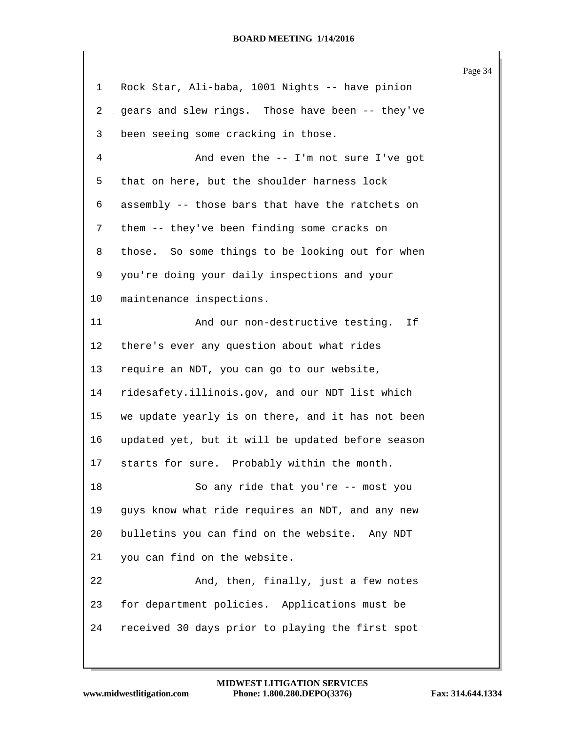|    |                                                   | Page 34 |
|----|---------------------------------------------------|---------|
| 1  | Rock Star, Ali-baba, 1001 Nights -- have pinion   |         |
| 2  | gears and slew rings. Those have been -- they've  |         |
| 3  | been seeing some cracking in those.               |         |
| 4  | And even the -- I'm not sure I've got             |         |
| 5  | that on here, but the shoulder harness lock       |         |
| 6  | assembly -- those bars that have the ratchets on  |         |
| 7  | them -- they've been finding some cracks on       |         |
| 8  | those. So some things to be looking out for when  |         |
| 9  | you're doing your daily inspections and your      |         |
| 10 | maintenance inspections.                          |         |
| 11 | And our non-destructive testing. If               |         |
| 12 | there's ever any question about what rides        |         |
| 13 | require an NDT, you can go to our website,        |         |
| 14 | ridesafety.illinois.gov, and our NDT list which   |         |
| 15 | we update yearly is on there, and it has not been |         |
| 16 | updated yet, but it will be updated before season |         |
| 17 | starts for sure. Probably within the month.       |         |
| 18 | So any ride that you're -- most you               |         |
| 19 | guys know what ride requires an NDT, and any new  |         |
| 20 | bulletins you can find on the website. Any NDT    |         |
| 21 | you can find on the website.                      |         |
| 22 | And, then, finally, just a few notes              |         |
| 23 | for department policies. Applications must be     |         |
| 24 | received 30 days prior to playing the first spot  |         |
|    |                                                   |         |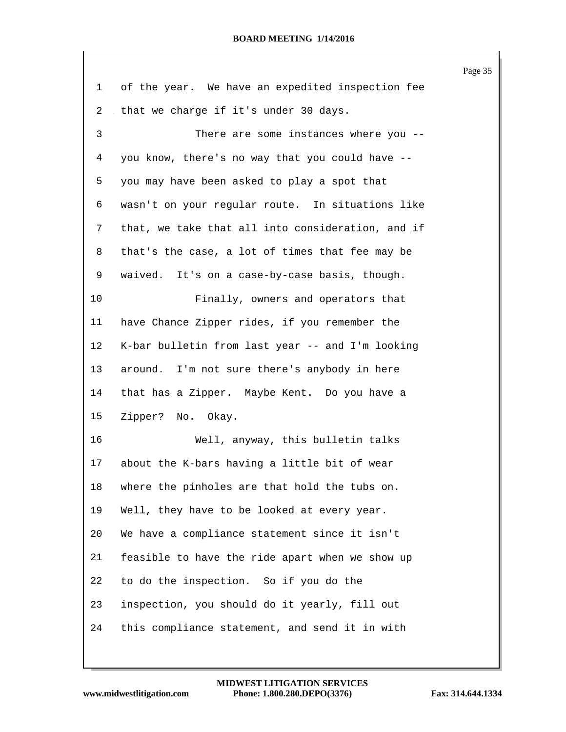|    |                                                   | Page 35 |
|----|---------------------------------------------------|---------|
| 1  | of the year. We have an expedited inspection fee  |         |
| 2  | that we charge if it's under 30 days.             |         |
| 3  | There are some instances where you --             |         |
| 4  | you know, there's no way that you could have --   |         |
| 5  | you may have been asked to play a spot that       |         |
| 6  | wasn't on your regular route. In situations like  |         |
| 7  | that, we take that all into consideration, and if |         |
| 8  | that's the case, a lot of times that fee may be   |         |
| 9  | waived. It's on a case-by-case basis, though.     |         |
| 10 | Finally, owners and operators that                |         |
| 11 | have Chance Zipper rides, if you remember the     |         |
| 12 | K-bar bulletin from last year -- and I'm looking  |         |
| 13 | around. I'm not sure there's anybody in here      |         |
| 14 | that has a Zipper. Maybe Kent. Do you have a      |         |
| 15 | Zipper? No. Okay.                                 |         |
| 16 | Well, anyway, this bulletin talks                 |         |
| 17 | about the K-bars having a little bit of wear      |         |
| 18 | where the pinholes are that hold the tubs on.     |         |
| 19 | Well, they have to be looked at every year.       |         |
| 20 | We have a compliance statement since it isn't     |         |
| 21 | feasible to have the ride apart when we show up   |         |
| 22 | to do the inspection. So if you do the            |         |
| 23 | inspection, you should do it yearly, fill out     |         |
| 24 | this compliance statement, and send it in with    |         |
|    |                                                   |         |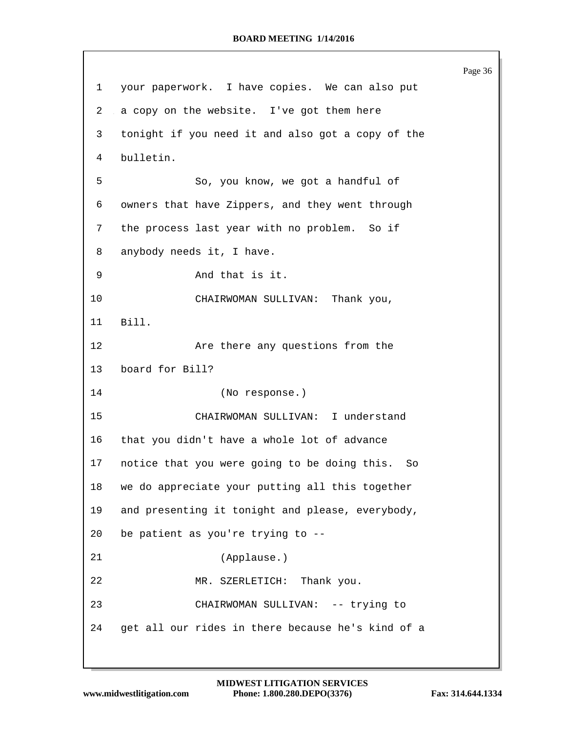Page 36 your paperwork. I have copies. We can also put 2 a copy on the website. I've got them here tonight if you need it and also got a copy of the bulletin. So, you know, we got a handful of owners that have Zippers, and they went through the process last year with no problem. So if anybody needs it, I have. And that is it. CHAIRWOMAN SULLIVAN: Thank you, Bill. 12 Are there any questions from the board for Bill? (No response.) CHAIRWOMAN SULLIVAN: I understand that you didn't have a whole lot of advance notice that you were going to be doing this. So we do appreciate your putting all this together and presenting it tonight and please, everybody, be patient as you're trying to -- (Applause.) MR. SZERLETICH: Thank you. CHAIRWOMAN SULLIVAN: -- trying to get all our rides in there because he's kind of a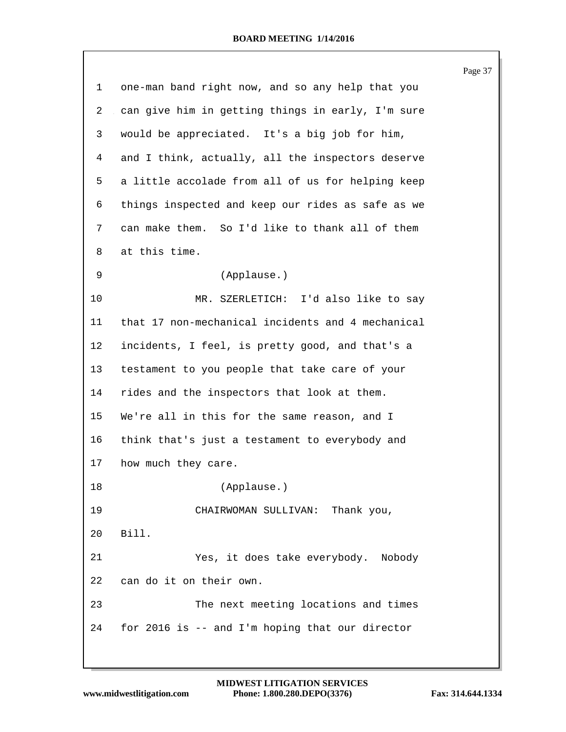|    |                                                   | Page 37 |
|----|---------------------------------------------------|---------|
| 1  | one-man band right now, and so any help that you  |         |
| 2  | can give him in getting things in early, I'm sure |         |
| 3  | would be appreciated. It's a big job for him,     |         |
| 4  | and I think, actually, all the inspectors deserve |         |
| 5  | a little accolade from all of us for helping keep |         |
| 6  | things inspected and keep our rides as safe as we |         |
| 7  | can make them. So I'd like to thank all of them   |         |
| 8  | at this time.                                     |         |
| 9  | (Applause.)                                       |         |
| 10 | MR. SZERLETICH: I'd also like to say              |         |
| 11 | that 17 non-mechanical incidents and 4 mechanical |         |
| 12 | incidents, I feel, is pretty good, and that's a   |         |
| 13 | testament to you people that take care of your    |         |
| 14 | rides and the inspectors that look at them.       |         |
| 15 | We're all in this for the same reason, and I      |         |
| 16 | think that's just a testament to everybody and    |         |
| 17 | how much they care.                               |         |
| 18 | (Applause.)                                       |         |
| 19 | CHAIRWOMAN SULLIVAN: Thank you,                   |         |
| 20 | Bill.                                             |         |
| 21 | Yes, it does take everybody. Nobody               |         |
| 22 | can do it on their own.                           |         |
| 23 | The next meeting locations and times              |         |
| 24 | for 2016 is -- and I'm hoping that our director   |         |
|    |                                                   |         |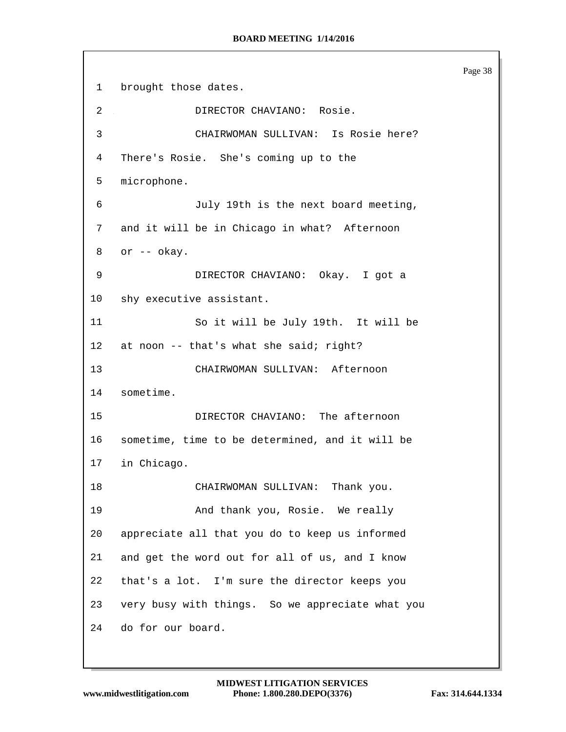Page 38 brought those dates. DIRECTOR CHAVIANO: Rosie. CHAIRWOMAN SULLIVAN: Is Rosie here? There's Rosie. She's coming up to the microphone. July 19th is the next board meeting, and it will be in Chicago in what? Afternoon or -- okay. DIRECTOR CHAVIANO: Okay. I got a shy executive assistant. So it will be July 19th. It will be 12 at noon -- that's what she said; right? CHAIRWOMAN SULLIVAN: Afternoon sometime. DIRECTOR CHAVIANO: The afternoon sometime, time to be determined, and it will be in Chicago. CHAIRWOMAN SULLIVAN: Thank you. And thank you, Rosie. We really appreciate all that you do to keep us informed and get the word out for all of us, and I know that's a lot. I'm sure the director keeps you very busy with things. So we appreciate what you do for our board.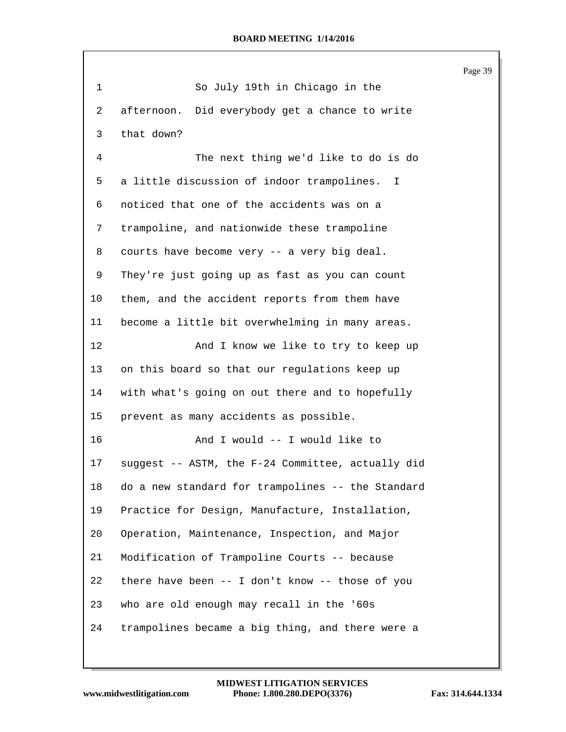|              |                                                   | Page 39 |
|--------------|---------------------------------------------------|---------|
| $\mathbf{1}$ | So July 19th in Chicago in the                    |         |
| 2            | afternoon. Did everybody get a chance to write    |         |
| 3            | that down?                                        |         |
| 4            | The next thing we'd like to do is do              |         |
| 5            | a little discussion of indoor trampolines. I      |         |
| 6            | noticed that one of the accidents was on a        |         |
| 7            | trampoline, and nationwide these trampoline       |         |
| 8            | courts have become very -- a very big deal.       |         |
| 9            | They're just going up as fast as you can count    |         |
| 10           | them, and the accident reports from them have     |         |
| 11           | become a little bit overwhelming in many areas.   |         |
| 12           | And I know we like to try to keep up              |         |
| 13           | on this board so that our regulations keep up     |         |
| 14           | with what's going on out there and to hopefully   |         |
| 15           | prevent as many accidents as possible.            |         |
| 16           | And I would -- I would like to                    |         |
| 17           | suggest -- ASTM, the F-24 Committee, actually did |         |
| 18           | do a new standard for trampolines -- the Standard |         |
| 19           | Practice for Design, Manufacture, Installation,   |         |
| 20           | Operation, Maintenance, Inspection, and Major     |         |
| 21           | Modification of Trampoline Courts -- because      |         |
| 22           | there have been -- I don't know -- those of you   |         |
| 23           | who are old enough may recall in the '60s         |         |
| 24           | trampolines became a big thing, and there were a  |         |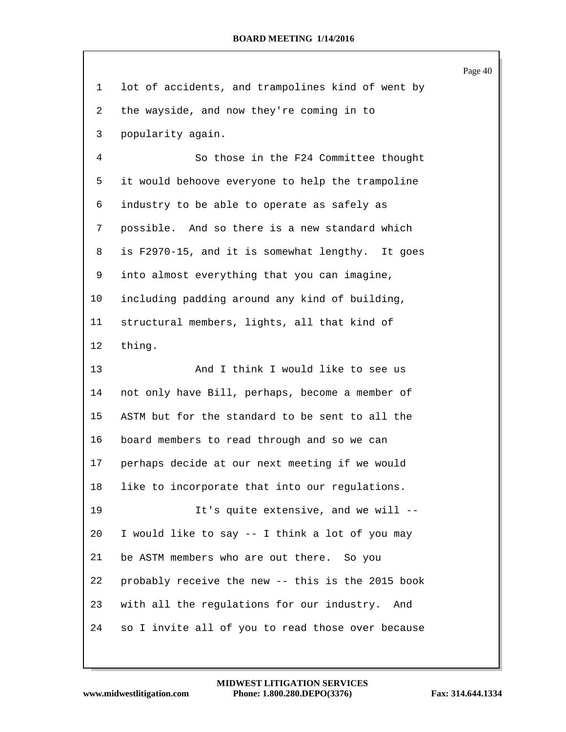|                |                                                   | Page 40 |
|----------------|---------------------------------------------------|---------|
| 1              | lot of accidents, and trampolines kind of went by |         |
| $\overline{2}$ | the wayside, and now they're coming in to         |         |
| 3              | popularity again.                                 |         |
| 4              | So those in the F24 Committee thought             |         |
| 5              | it would behoove everyone to help the trampoline  |         |
| 6              | industry to be able to operate as safely as       |         |
| 7              | possible. And so there is a new standard which    |         |
| 8              | is F2970-15, and it is somewhat lengthy. It goes  |         |
| 9              | into almost everything that you can imagine,      |         |
| 10             | including padding around any kind of building,    |         |
| 11             | structural members, lights, all that kind of      |         |
| 12             | thing.                                            |         |
| 13             | And I think I would like to see us                |         |
| 14             | not only have Bill, perhaps, become a member of   |         |
| 15             | ASTM but for the standard to be sent to all the   |         |
| 16             | board members to read through and so we can       |         |
| 17             | perhaps decide at our next meeting if we would    |         |
| 18             | like to incorporate that into our regulations.    |         |
| 19             | It's quite extensive, and we will --              |         |
| 20             | I would like to say -- I think a lot of you may   |         |
| 21             | be ASTM members who are out there. So you         |         |
| 22             | probably receive the new -- this is the 2015 book |         |
| 23             | with all the regulations for our industry.<br>And |         |
| 24             | so I invite all of you to read those over because |         |
|                |                                                   |         |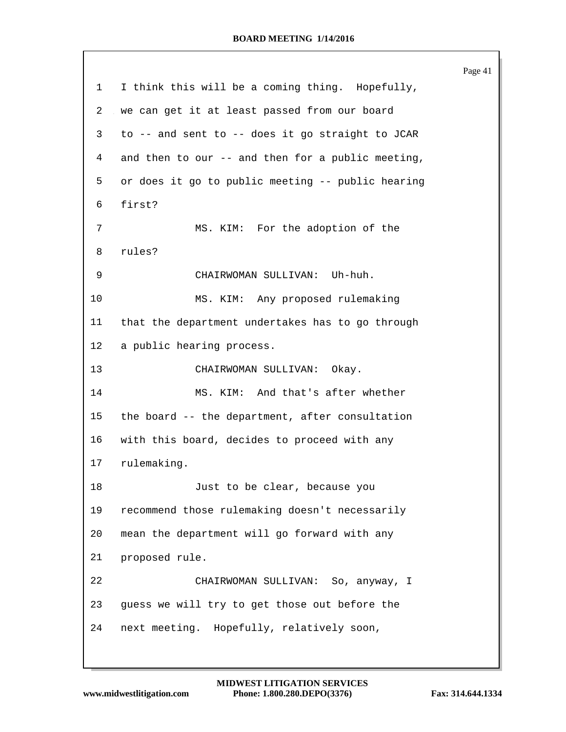Page 41 I think this will be a coming thing. Hopefully, we can get it at least passed from our board to -- and sent to -- does it go straight to JCAR and then to our -- and then for a public meeting, or does it go to public meeting -- public hearing first? MS. KIM: For the adoption of the rules? CHAIRWOMAN SULLIVAN: Uh-huh. MS. KIM: Any proposed rulemaking that the department undertakes has to go through a public hearing process. CHAIRWOMAN SULLIVAN: Okay. MS. KIM: And that's after whether the board -- the department, after consultation with this board, decides to proceed with any rulemaking. Just to be clear, because you recommend those rulemaking doesn't necessarily mean the department will go forward with any proposed rule. CHAIRWOMAN SULLIVAN: So, anyway, I guess we will try to get those out before the next meeting. Hopefully, relatively soon,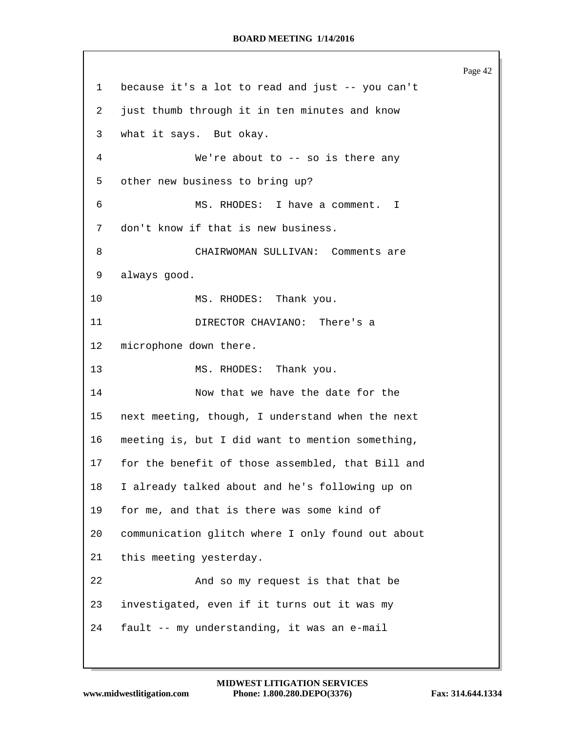Page 42 because it's a lot to read and just -- you can't just thumb through it in ten minutes and know what it says. But okay. We're about to -- so is there any other new business to bring up? MS. RHODES: I have a comment. I don't know if that is new business. CHAIRWOMAN SULLIVAN: Comments are always good. 10 MS. RHODES: Thank you. DIRECTOR CHAVIANO: There's a microphone down there. 13 MS. RHODES: Thank you. Now that we have the date for the next meeting, though, I understand when the next meeting is, but I did want to mention something, for the benefit of those assembled, that Bill and I already talked about and he's following up on for me, and that is there was some kind of communication glitch where I only found out about this meeting yesterday. And so my request is that that be investigated, even if it turns out it was my fault -- my understanding, it was an e-mail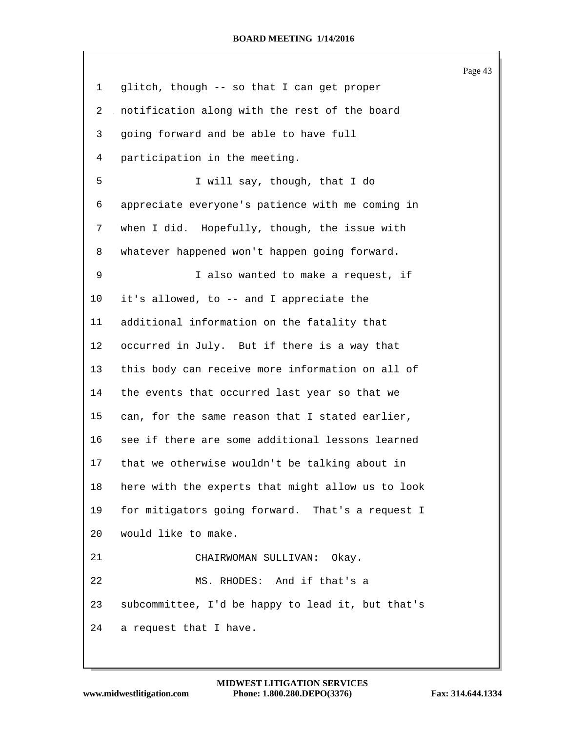|    |                                                   | Page 43 |
|----|---------------------------------------------------|---------|
| 1  | glitch, though -- so that I can get proper        |         |
| 2  | notification along with the rest of the board     |         |
| 3  | going forward and be able to have full            |         |
| 4  | participation in the meeting.                     |         |
| 5  | I will say, though, that I do                     |         |
| 6  | appreciate everyone's patience with me coming in  |         |
| 7  | when I did. Hopefully, though, the issue with     |         |
| 8  | whatever happened won't happen going forward.     |         |
| 9  | I also wanted to make a request, if               |         |
| 10 | it's allowed, to -- and I appreciate the          |         |
| 11 | additional information on the fatality that       |         |
| 12 | occurred in July. But if there is a way that      |         |
| 13 | this body can receive more information on all of  |         |
| 14 | the events that occurred last year so that we     |         |
| 15 | can, for the same reason that I stated earlier,   |         |
| 16 | see if there are some additional lessons learned  |         |
| 17 | that we otherwise wouldn't be talking about in    |         |
| 18 | here with the experts that might allow us to look |         |
| 19 | for mitigators going forward. That's a request I  |         |
| 20 | would like to make.                               |         |
| 21 | CHAIRWOMAN SULLIVAN: Okay.                        |         |
| 22 | MS. RHODES: And if that's a                       |         |
| 23 | subcommittee, I'd be happy to lead it, but that's |         |
| 24 | a request that I have.                            |         |
|    |                                                   |         |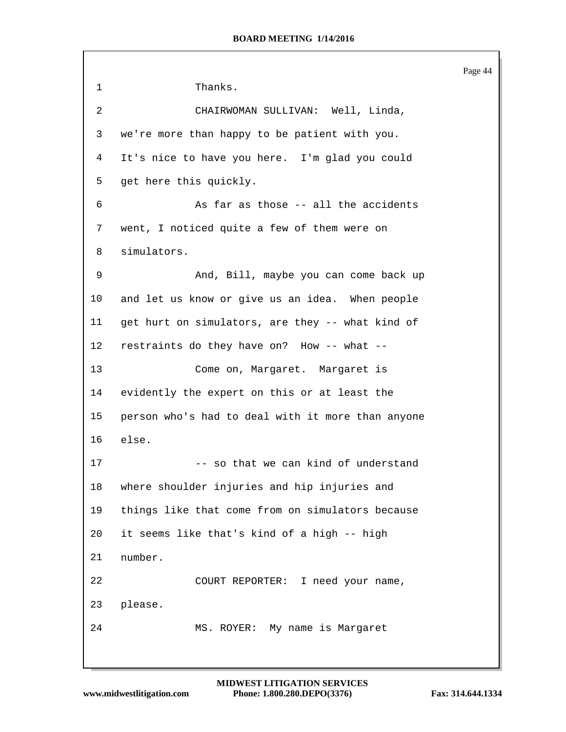Page 44 Thanks. CHAIRWOMAN SULLIVAN: Well, Linda, we're more than happy to be patient with you. It's nice to have you here. I'm glad you could get here this quickly. As far as those -- all the accidents went, I noticed quite a few of them were on simulators. And, Bill, maybe you can come back up and let us know or give us an idea. When people get hurt on simulators, are they -- what kind of restraints do they have on? How -- what -- Come on, Margaret. Margaret is evidently the expert on this or at least the person who's had to deal with it more than anyone else. 17 -- so that we can kind of understand where shoulder injuries and hip injuries and things like that come from on simulators because it seems like that's kind of a high -- high number. COURT REPORTER: I need your name, please. MS. ROYER: My name is Margaret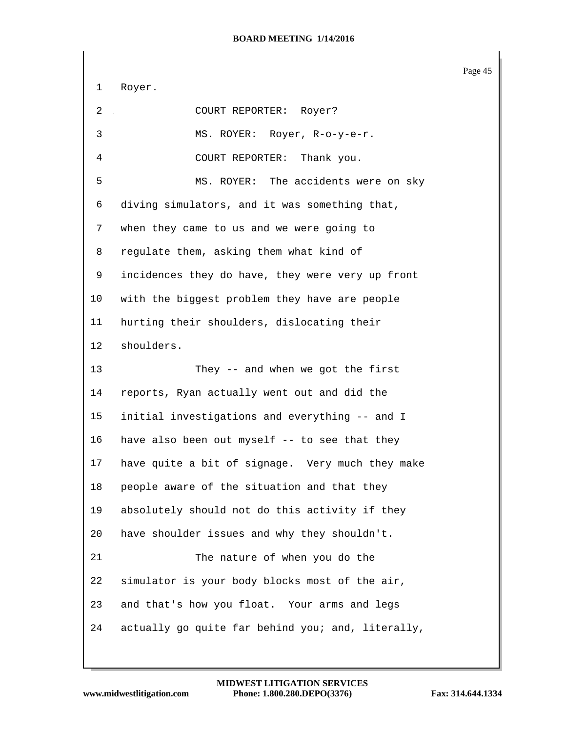Page 45 Royer. COURT REPORTER: Royer? MS. ROYER: Royer, R-o-y-e-r. COURT REPORTER: Thank you. MS. ROYER: The accidents were on sky diving simulators, and it was something that, when they came to us and we were going to regulate them, asking them what kind of incidences they do have, they were very up front with the biggest problem they have are people hurting their shoulders, dislocating their shoulders. They -- and when we got the first reports, Ryan actually went out and did the initial investigations and everything -- and I have also been out myself -- to see that they have quite a bit of signage. Very much they make people aware of the situation and that they absolutely should not do this activity if they have shoulder issues and why they shouldn't. The nature of when you do the simulator is your body blocks most of the air, and that's how you float. Your arms and legs actually go quite far behind you; and, literally,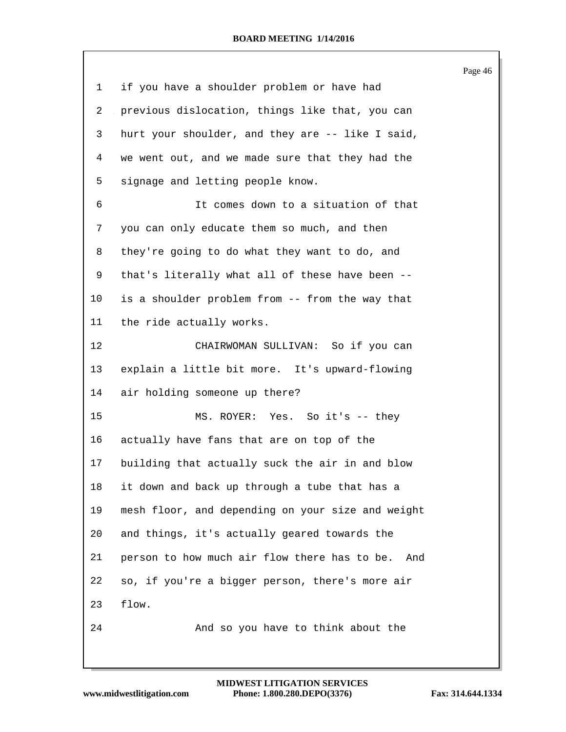|         |                                                     | Page 46 |
|---------|-----------------------------------------------------|---------|
| 1       | if you have a shoulder problem or have had          |         |
| 2       | previous dislocation, things like that, you can     |         |
| 3       | hurt your shoulder, and they are -- like I said,    |         |
| 4       | we went out, and we made sure that they had the     |         |
| 5       | signage and letting people know.                    |         |
| 6       | It comes down to a situation of that                |         |
| 7       | you can only educate them so much, and then         |         |
| 8       | they're going to do what they want to do, and       |         |
| 9       | that's literally what all of these have been --     |         |
| $10 \,$ | is a shoulder problem from -- from the way that     |         |
| 11      | the ride actually works.                            |         |
| 12      | CHAIRWOMAN SULLIVAN: So if you can                  |         |
| 13      | explain a little bit more. It's upward-flowing      |         |
| 14      | air holding someone up there?                       |         |
| 15      | MS. ROYER: Yes. So it's -- they                     |         |
| 16      | actually have fans that are on top of the           |         |
| 17      | building that actually suck the air in and blow     |         |
| 18      | it down and back up through a tube that has a       |         |
| 19      | mesh floor, and depending on your size and weight   |         |
| 20      | and things, it's actually geared towards the        |         |
| 21      | person to how much air flow there has to be.<br>And |         |
| 22      | so, if you're a bigger person, there's more air     |         |
| 23      | flow.                                               |         |
| 24      | And so you have to think about the                  |         |
|         |                                                     |         |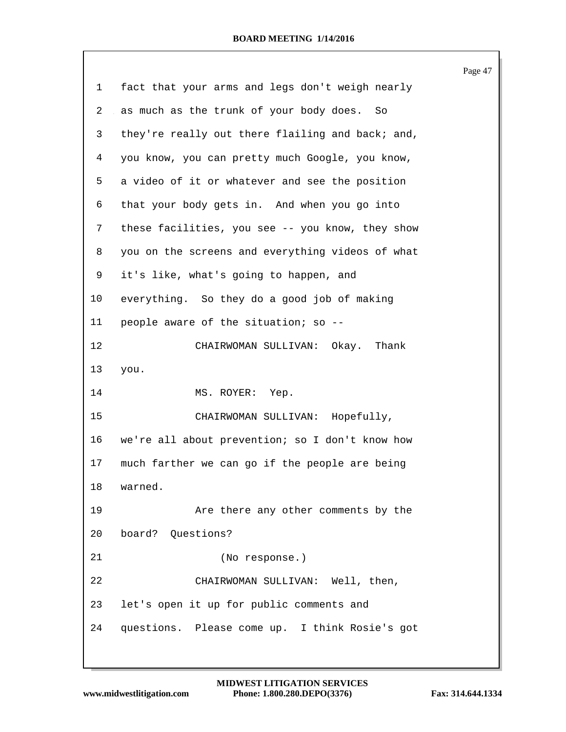|    |                                                  | Page 47 |
|----|--------------------------------------------------|---------|
| 1  | fact that your arms and legs don't weigh nearly  |         |
| 2  | as much as the trunk of your body does. So       |         |
| 3  | they're really out there flailing and back; and, |         |
| 4  | you know, you can pretty much Google, you know,  |         |
| 5  | a video of it or whatever and see the position   |         |
| 6  | that your body gets in. And when you go into     |         |
| 7  | these facilities, you see -- you know, they show |         |
| 8  | you on the screens and everything videos of what |         |
| 9  | it's like, what's going to happen, and           |         |
| 10 | everything. So they do a good job of making      |         |
| 11 | people aware of the situation; so --             |         |
| 12 | CHAIRWOMAN SULLIVAN: Okay. Thank                 |         |
| 13 | you.                                             |         |
| 14 | MS. ROYER: Yep.                                  |         |
| 15 | CHAIRWOMAN SULLIVAN: Hopefully,                  |         |
| 16 | we're all about prevention; so I don't know how  |         |
| 17 | much farther we can go if the people are being   |         |
| 18 | warned.                                          |         |
| 19 | Are there any other comments by the              |         |
| 20 | board? Questions?                                |         |
| 21 | (No response.)                                   |         |
| 22 | CHAIRWOMAN SULLIVAN: Well, then,                 |         |
| 23 | let's open it up for public comments and         |         |
| 24 | questions. Please come up. I think Rosie's got   |         |
|    |                                                  |         |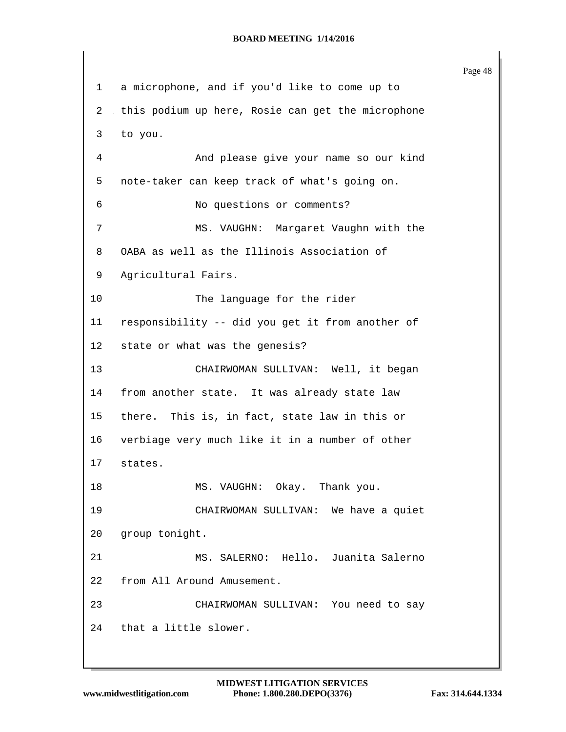Page 48 a microphone, and if you'd like to come up to this podium up here, Rosie can get the microphone to you. And please give your name so our kind note-taker can keep track of what's going on. No questions or comments? MS. VAUGHN: Margaret Vaughn with the OABA as well as the Illinois Association of Agricultural Fairs. 10 The language for the rider responsibility -- did you get it from another of state or what was the genesis? CHAIRWOMAN SULLIVAN: Well, it began from another state. It was already state law there. This is, in fact, state law in this or verbiage very much like it in a number of other states. 18 MS. VAUGHN: Okay. Thank you. CHAIRWOMAN SULLIVAN: We have a quiet group tonight. MS. SALERNO: Hello. Juanita Salerno from All Around Amusement. CHAIRWOMAN SULLIVAN: You need to say that a little slower.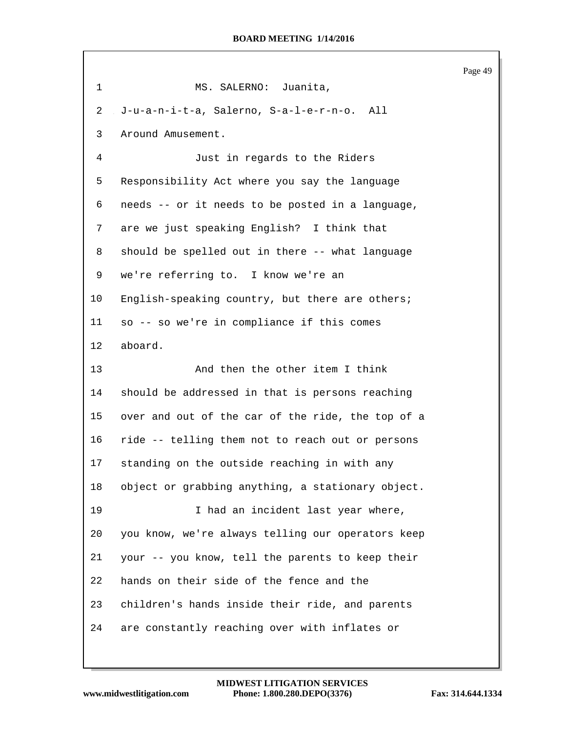Page 49 1 MS. SALERNO: Juanita, J-u-a-n-i-t-a, Salerno, S-a-l-e-r-n-o. All Around Amusement. Just in regards to the Riders Responsibility Act where you say the language needs -- or it needs to be posted in a language, are we just speaking English? I think that should be spelled out in there -- what language we're referring to. I know we're an English-speaking country, but there are others; so -- so we're in compliance if this comes aboard. And then the other item I think should be addressed in that is persons reaching over and out of the car of the ride, the top of a ride -- telling them not to reach out or persons standing on the outside reaching in with any object or grabbing anything, a stationary object. I had an incident last year where, you know, we're always telling our operators keep your -- you know, tell the parents to keep their hands on their side of the fence and the children's hands inside their ride, and parents are constantly reaching over with inflates or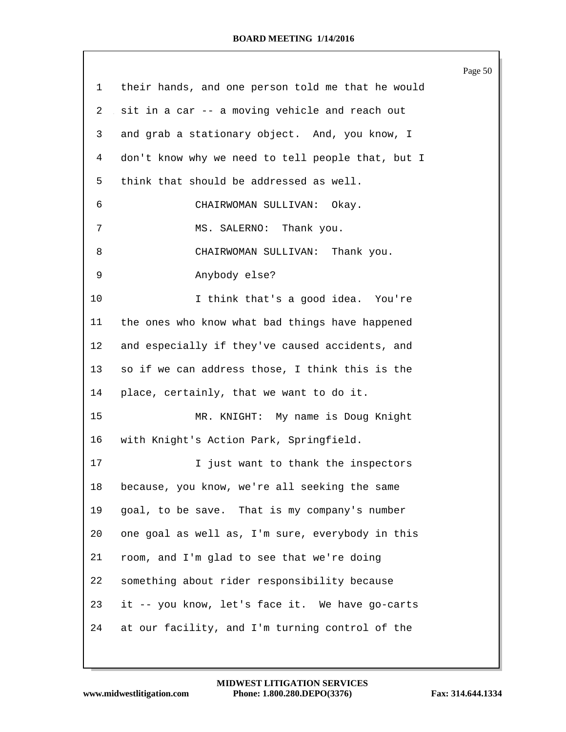|    |                                                   | Page 50 |
|----|---------------------------------------------------|---------|
| 1  | their hands, and one person told me that he would |         |
| 2  | sit in a car -- a moving vehicle and reach out    |         |
| 3  | and grab a stationary object. And, you know, I    |         |
| 4  | don't know why we need to tell people that, but I |         |
| 5  | think that should be addressed as well.           |         |
| 6  | CHAIRWOMAN SULLIVAN: Okay.                        |         |
| 7  | MS. SALERNO: Thank you.                           |         |
| 8  | CHAIRWOMAN SULLIVAN: Thank you.                   |         |
| 9  | Anybody else?                                     |         |
| 10 | I think that's a good idea. You're                |         |
| 11 | the ones who know what bad things have happened   |         |
| 12 | and especially if they've caused accidents, and   |         |
| 13 | so if we can address those, I think this is the   |         |
| 14 | place, certainly, that we want to do it.          |         |
| 15 | MR. KNIGHT: My name is Doug Knight                |         |
| 16 | with Knight's Action Park, Springfield.           |         |
| 17 | I just want to thank the inspectors               |         |
| 18 | because, you know, we're all seeking the same     |         |
| 19 | goal, to be save. That is my company's number     |         |
| 20 | one goal as well as, I'm sure, everybody in this  |         |
| 21 | room, and I'm glad to see that we're doing        |         |
| 22 | something about rider responsibility because      |         |
| 23 | it -- you know, let's face it. We have go-carts   |         |
| 24 | at our facility, and I'm turning control of the   |         |
|    |                                                   |         |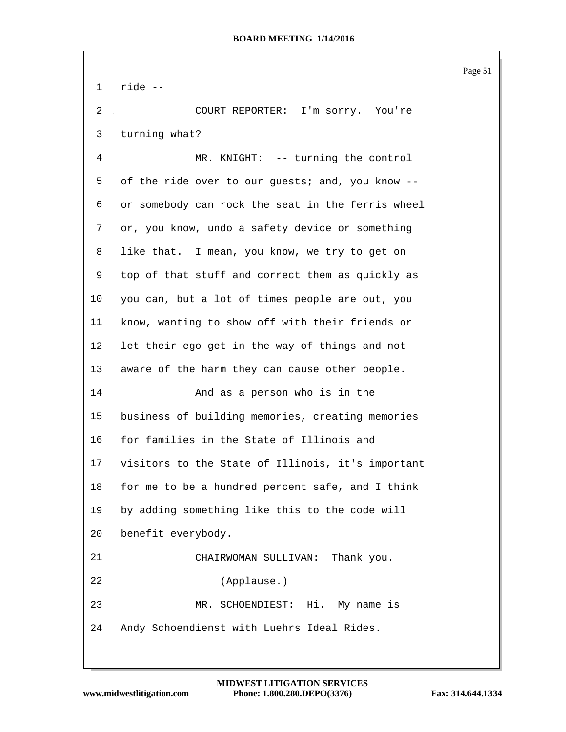ride -- COURT REPORTER: I'm sorry. You're turning what? MR. KNIGHT: -- turning the control of the ride over to our guests; and, you know -- or somebody can rock the seat in the ferris wheel or, you know, undo a safety device or something like that. I mean, you know, we try to get on top of that stuff and correct them as quickly as you can, but a lot of times people are out, you know, wanting to show off with their friends or let their ego get in the way of things and not aware of the harm they can cause other people. And as a person who is in the business of building memories, creating memories for families in the State of Illinois and visitors to the State of Illinois, it's important for me to be a hundred percent safe, and I think by adding something like this to the code will benefit everybody. CHAIRWOMAN SULLIVAN: Thank you. (Applause.) MR. SCHOENDIEST: Hi. My name is Andy Schoendienst with Luehrs Ideal Rides.

Page 51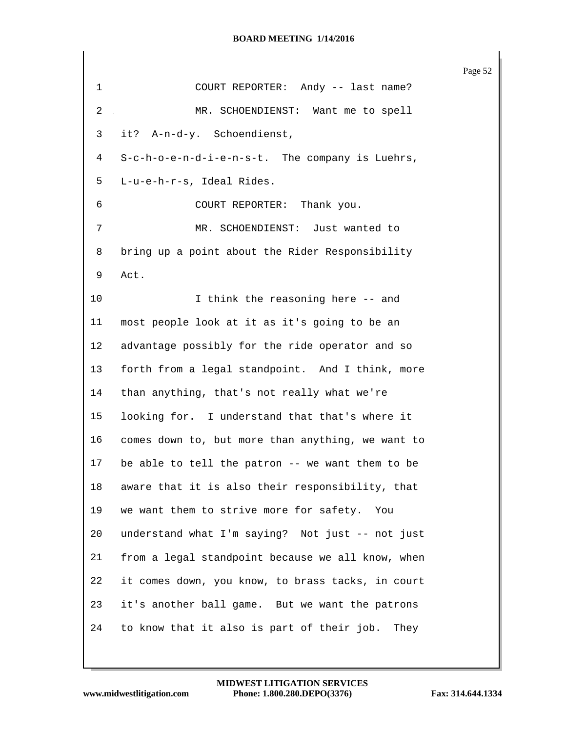|                |                                                    | Page 52 |
|----------------|----------------------------------------------------|---------|
| $\mathbf 1$    | COURT REPORTER: Andy -- last name?                 |         |
| $\overline{2}$ | MR. SCHOENDIENST: Want me to spell                 |         |
| 3              | it? A-n-d-y. Schoendienst,                         |         |
| 4              | S-c-h-o-e-n-d-i-e-n-s-t. The company is Luehrs,    |         |
| 5              | L-u-e-h-r-s, Ideal Rides.                          |         |
| 6              | COURT REPORTER: Thank you.                         |         |
| 7              | MR. SCHOENDIENST: Just wanted to                   |         |
| 8              | bring up a point about the Rider Responsibility    |         |
| 9              | Act.                                               |         |
| 10             | I think the reasoning here -- and                  |         |
| 11             | most people look at it as it's going to be an      |         |
| 12             | advantage possibly for the ride operator and so    |         |
| 13             | forth from a legal standpoint. And I think, more   |         |
| 14             | than anything, that's not really what we're        |         |
| 15             | looking for. I understand that that's where it     |         |
| 16             | comes down to, but more than anything, we want to  |         |
| 17             | be able to tell the patron -- we want them to be   |         |
| 18             | aware that it is also their responsibility, that   |         |
| 19             | we want them to strive more for safety.<br>You     |         |
| 20             | understand what I'm saying? Not just -- not just   |         |
| 21             | from a legal standpoint because we all know, when  |         |
| 22             | it comes down, you know, to brass tacks, in court  |         |
| 23             | it's another ball game. But we want the patrons    |         |
| 24             | to know that it also is part of their job.<br>They |         |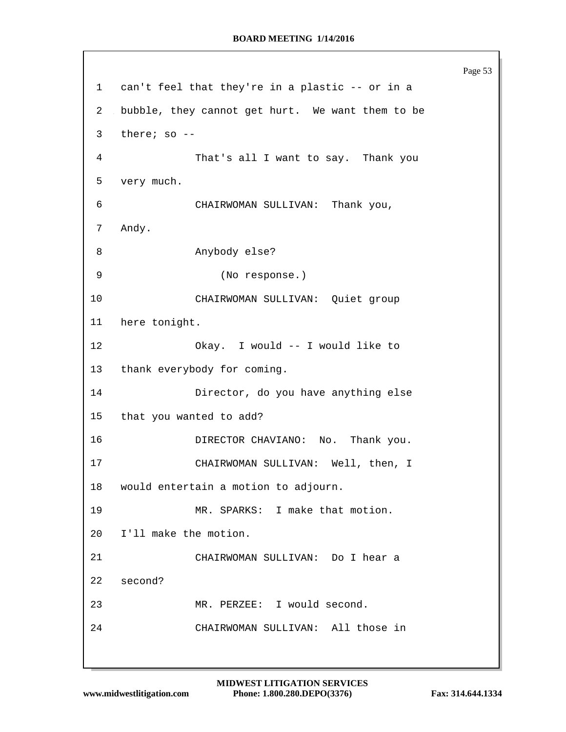Page 53 can't feel that they're in a plastic -- or in a bubble, they cannot get hurt. We want them to be there; so -- That's all I want to say. Thank you very much. CHAIRWOMAN SULLIVAN: Thank you, Andy. Anybody else? (No response.) CHAIRWOMAN SULLIVAN: Quiet group here tonight. Okay. I would -- I would like to thank everybody for coming. Director, do you have anything else that you wanted to add? DIRECTOR CHAVIANO: No. Thank you. CHAIRWOMAN SULLIVAN: Well, then, I would entertain a motion to adjourn. MR. SPARKS: I make that motion. I'll make the motion. CHAIRWOMAN SULLIVAN: Do I hear a second? MR. PERZEE: I would second. CHAIRWOMAN SULLIVAN: All those in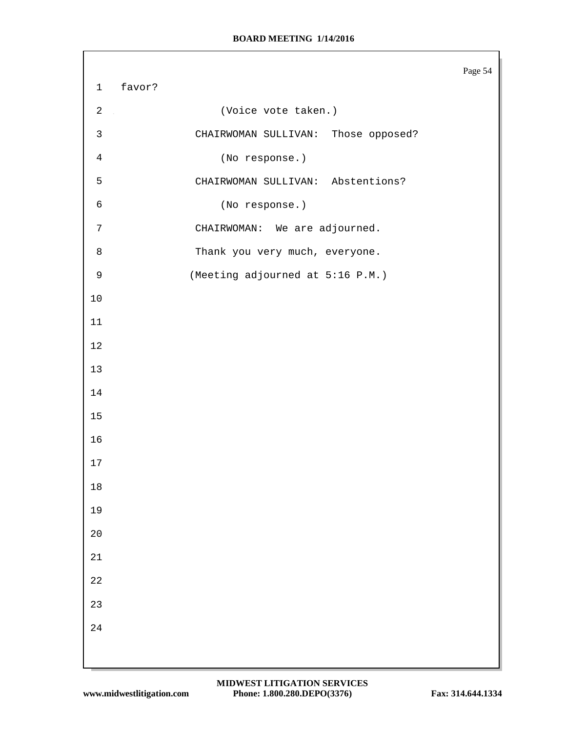|                |        |                                     | Page 54 |
|----------------|--------|-------------------------------------|---------|
| $\mathbf 1$    | favor? |                                     |         |
| $\overline{c}$ |        | (Voice vote taken.)                 |         |
| 3              |        | CHAIRWOMAN SULLIVAN: Those opposed? |         |
| $\overline{4}$ |        | (No response.)                      |         |
| 5              |        | CHAIRWOMAN SULLIVAN: Abstentions?   |         |
| 6              |        | (No response.)                      |         |
| $\overline{7}$ |        | CHAIRWOMAN: We are adjourned.       |         |
| $\,8\,$        |        | Thank you very much, everyone.      |         |
| 9              |        | (Meeting adjourned at 5:16 P.M.)    |         |
| $10$           |        |                                     |         |
| 11             |        |                                     |         |
| 12             |        |                                     |         |
| 13             |        |                                     |         |
| 14             |        |                                     |         |
| $15\,$         |        |                                     |         |
| 16             |        |                                     |         |
| 17             |        |                                     |         |
| $18\,$         |        |                                     |         |
| 19             |        |                                     |         |
| $20\,$         |        |                                     |         |
| $2\sqrt{1}$    |        |                                     |         |
| $2\sqrt{2}$    |        |                                     |         |
| 23             |        |                                     |         |
| $2\sqrt{4}$    |        |                                     |         |
|                |        |                                     |         |
|                |        |                                     |         |

Г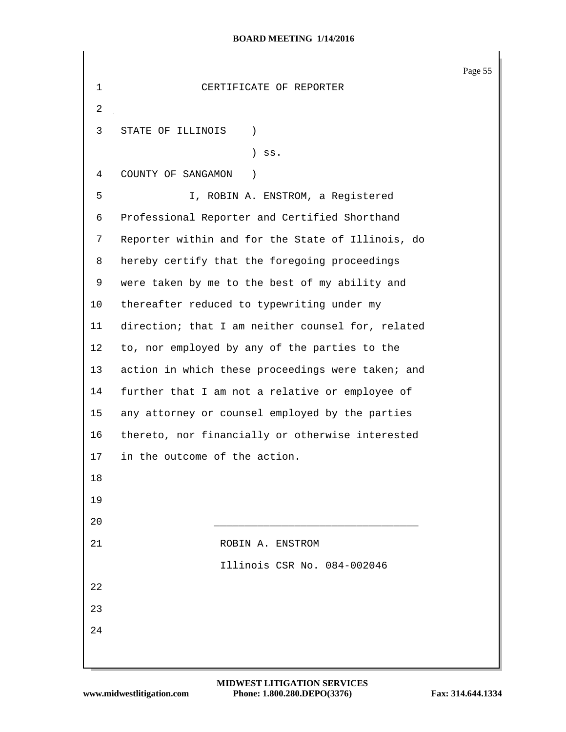Page 55 CERTIFICATE OF REPORTER STATE OF ILLINOIS ) ) ss. COUNTY OF SANGAMON ) I, ROBIN A. ENSTROM, a Registered Professional Reporter and Certified Shorthand Reporter within and for the State of Illinois, do hereby certify that the foregoing proceedings were taken by me to the best of my ability and thereafter reduced to typewriting under my direction; that I am neither counsel for, related to, nor employed by any of the parties to the 13 action in which these proceedings were taken; and further that I am not a relative or employee of any attorney or counsel employed by the parties thereto, nor financially or otherwise interested in the outcome of the action. \_\_\_\_\_\_\_\_\_\_\_\_\_\_\_\_\_\_\_\_\_\_\_\_\_\_\_\_\_\_\_\_\_ 21 ROBIN A. ENSTROM Illinois CSR No. 084-002046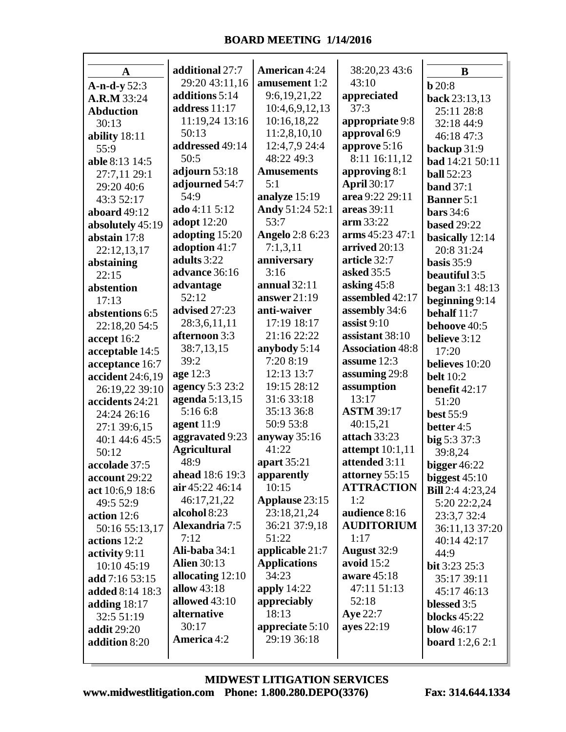| $\mathbf A$        | additional 27:7     | <b>American 4:24</b>   | 38:20,23 43:6           | $\bf{B}$                 |
|--------------------|---------------------|------------------------|-------------------------|--------------------------|
| $A-n-d-y 52:3$     | 29:20 43:11,16      | amusement 1:2          | 43:10                   | b20:8                    |
| A.R.M 33:24        | additions 5:14      | 9:6,19,21,22           | appreciated             | back 23:13,13            |
|                    | address 11:17       | 10:4,6,9,12,13         | 37:3                    |                          |
| <b>Abduction</b>   | 11:19,24 13:16      | 10:16,18,22            | appropriate 9:8         | 25:11 28:8               |
| 30:13              | 50:13               | 11:2,8,10,10           | approval 6:9            | 32:18 44:9               |
| ability 18:11      | addressed 49:14     | 12:4,7,9 24:4          | approve 5:16            | 46:18 47:3               |
| 55:9               | 50:5                | 48:22 49:3             | 8:11 16:11,12           | backup 31:9              |
| able 8:13 14:5     | adjourn 53:18       | <b>Amusements</b>      | approving 8:1           | bad 14:21 50:11          |
| 27:7,11 29:1       | adjourned 54:7      | 5:1                    | <b>April 30:17</b>      | <b>ball</b> 52:23        |
| 29:20 40:6         | 54:9                | analyze 15:19          | area 9:22 29:11         | band $37:1$              |
| 43:3 52:17         | ado 4:11 5:12       | Andy 51:24 52:1        | areas 39:11             | <b>Banner</b> 5:1        |
| aboard 49:12       | adopt 12:20         | 53:7                   | arm 33:22               | <b>bars</b> 34:6         |
| absolutely 45:19   |                     |                        | arms 45:23 47:1         | <b>based</b> 29:22       |
| abstain 17:8       | adopting 15:20      | <b>Angelo</b> 2:8 6:23 |                         | basically 12:14          |
| 22:12,13,17        | adoption 41:7       | 7:1,3,11               | arrived 20:13           | 20:8 31:24               |
| abstaining         | adults 3:22         | anniversary            | article 32:7            | basis $35:9$             |
| 22:15              | advance 36:16       | 3:16                   | asked 35:5              | beautiful 3:5            |
| abstention         | advantage           | annual $32:11$         | asking $45:8$           | began 3:1 48:13          |
| 17:13              | 52:12               | answer $21:19$         | assembled 42:17         | beginning 9:14           |
| abstentions 6:5    | advised 27:23       | anti-waiver            | assembly 34:6           | behalf 11:7              |
| 22:18,20 54:5      | 28:3,6,11,11        | 17:19 18:17            | assist $9:10$           | behoove 40:5             |
| accept 16:2        | afternoon 3:3       | 21:16 22:22            | assistant 38:10         | believe 3:12             |
| acceptable 14:5    | 38:7,13,15          | anybody 5:14           | <b>Association 48:8</b> | 17:20                    |
| acceptance 16:7    | 39:2                | 7:20 8:19              | assume $12:3$           | believes 10:20           |
| accident 24:6,19   | age 12:3            | 12:13 13:7             | assuming 29:8           | <b>belt</b> 10:2         |
| 26:19,22 39:10     | agency 5:3 23:2     | 19:15 28:12            | assumption              | benefit 42:17            |
| accidents 24:21    | agenda 5:13,15      | 31:6 33:18             | 13:17                   | 51:20                    |
| 24:24 26:16        | 5:16 6:8            | 35:13 36:8             | <b>ASTM 39:17</b>       | <b>best 55:9</b>         |
| 27:1 39:6,15       | agent $11:9$        | 50:9 53:8              | 40:15,21                | better 4:5               |
| 40:1 44:6 45:5     | aggravated 9:23     | anyway 35:16           | attach 33:23            | big 5:3 37:3             |
| 50:12              | <b>Agricultural</b> | 41:22                  | attempt $10:1,11$       | 39:8,24                  |
| accolade 37:5      | 48:9                | apart 35:21            | attended 3:11           | bigger $46:22$           |
| account 29:22      | ahead 18:6 19:3     | apparently             | attorney 55:15          | biggest $45:10$          |
| act 10:6,9 18:6    | air 45:22 46:14     | 10:15                  | <b>ATTRACTION</b>       | <b>Bill</b> 2:4 4:23,24  |
| 49:5 52:9          | 46:17,21,22         | Applause 23:15         | 1:2                     | 5:20 22:2,24             |
| action 12:6        | alcohol 8:23        | 23:18,21,24            | audience 8:16           | 23:3,7 32:4              |
| 50:16 55:13,17     | Alexandria 7:5      | 36:21 37:9,18          | <b>AUDITORIUM</b>       | 36:11,13 37:20           |
| actions 12:2       | 7:12                | 51:22                  | 1:17                    | 40:14 42:17              |
| activity 9:11      | Ali-baba 34:1       | applicable 21:7        | August 32:9             | 44:9                     |
| 10:10 45:19        | <b>Alien 30:13</b>  | <b>Applications</b>    | avoid $15:2$            | <b>bit</b> $3:23\,25:3$  |
| add 7:16 53:15     | allocating $12:10$  | 34:23                  | aware 45:18             | 35:17 39:11              |
| added 8:14 18:3    | allow 43:18         | apply 14:22            | 47:11 51:13             | 45:17 46:13              |
| adding $18:17$     | allowed 43:10       | appreciably            | 52:18                   | blessed 3:5              |
| 32:5 51:19         | alternative         | 18:13                  | Aye 22:7                | blocks $45:22$           |
| <b>addit</b> 29:20 | 30:17               | appreciate 5:10        | ayes 22:19              | <b>blow</b> 46:17        |
| addition 8:20      | America 4:2         | 29:19 36:18            |                         | <b>board</b> $1:2,6$ 2:1 |
|                    |                     |                        |                         |                          |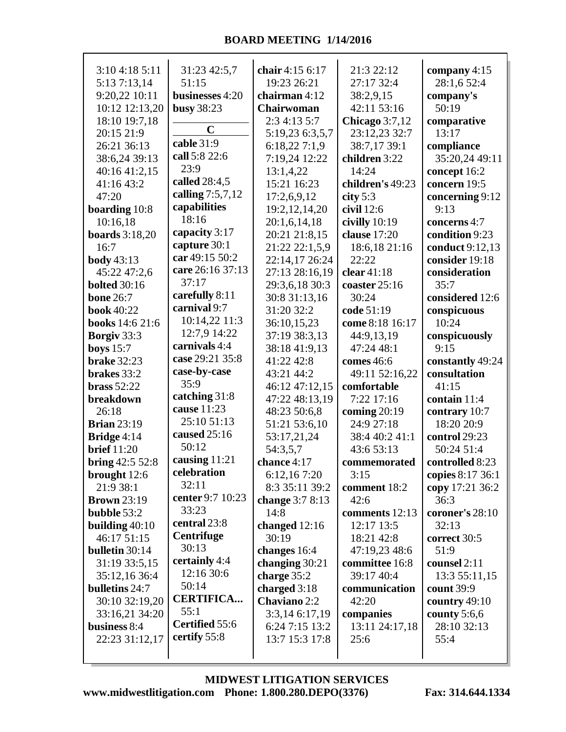| 3:10 4:18 5:11         | 31:23 42:5,7      | chair 4:15 6:17   | 21:3 22:12       | company $4:15$   |
|------------------------|-------------------|-------------------|------------------|------------------|
| 5:13 7:13,14           | 51:15             | 19:23 26:21       | 27:17 32:4       | 28:1,6 52:4      |
| 9:20,22 10:11          | businesses 4:20   | chairman $4:12$   | 38:2,9,15        | company's        |
| 10:12 12:13,20         | busy 38:23        | <b>Chairwoman</b> | 42:11 53:16      | 50:19            |
| 18:10 19:7,18          |                   | 2:3 4:13 5:7      | Chicago $3:7,12$ | comparative      |
| 20:15 21:9             | $\mathbf C$       |                   |                  | 13:17            |
|                        | cable 31:9        | 5:19,23 6:3,5,7   | 23:12,23 32:7    |                  |
| 26:21 36:13            | call 5:8 22:6     | 6:18,227:1,9      | 38:7,17 39:1     | compliance       |
| 38:6,24 39:13          |                   | 7:19,24 12:22     | children 3:22    | 35:20,24 49:11   |
| 40:16 41:2,15          | 23:9              | 13:1,4,22         | 14:24            | concept 16:2     |
| 41:16 43:2             | called 28:4,5     | 15:21 16:23       | children's 49:23 | concern 19:5     |
| 47:20                  | calling 7:5,7,12  | 17:2,6,9,12       | city $5:3$       | concerning 9:12  |
| boarding 10:8          | capabilities      | 19:2, 12, 14, 20  | civil $12:6$     | 9:13             |
| 10:16,18               | 18:16             | 20:1,6,14,18      | civilly $10:19$  | concerns 4:7     |
| <b>boards</b> 3:18,20  | capacity 3:17     | 20:21 21:8,15     | clause 17:20     | condition 9:23   |
| 16:7                   | capture 30:1      | 21:22 22:1,5,9    | 18:6,18 21:16    | conduct 9:12,13  |
| <b>body</b> 43:13      | car 49:15 50:2    | 22:14,17 26:24    | 22:22            | consider 19:18   |
| 45:22 47:2,6           | care 26:16 37:13  | 27:13 28:16,19    | clear $41:18$    | consideration    |
|                        | 37:17             |                   |                  | 35:7             |
| <b>bolted</b> 30:16    | carefully 8:11    | 29:3,6,18 30:3    | coaster 25:16    |                  |
| <b>bone 26:7</b>       | carnival 9:7      | 30:8 31:13,16     | 30:24            | considered 12:6  |
| <b>book</b> 40:22      |                   | 31:20 32:2        | code 51:19       | conspicuous      |
| <b>books</b> 14:6 21:6 | 10:14,22 11:3     | 36:10,15,23       | come 8:18 16:17  | 10:24            |
| Borgiv 33:3            | 12:7,9 14:22      | 37:19 38:3,13     | 44:9,13,19       | conspicuously    |
| boys $15:7$            | carnivals 4:4     | 38:18 41:9,13     | 47:24 48:1       | 9:15             |
| <b>brake</b> 32:23     | case 29:21 35:8   | 41:22 42:8        | comes 46:6       | constantly 49:24 |
| brakes 33:2            | case-by-case      | 43:21 44:2        | 49:11 52:16,22   | consultation     |
| brass $52:22$          | 35:9              | 46:12 47:12,15    | comfortable      | 41:15            |
| breakdown              | catching 31:8     | 47:22 48:13,19    | 7:22 17:16       | contain 11:4     |
| 26:18                  | cause 11:23       | 48:23 50:6,8      | coming $20:19$   | contrary 10:7    |
| <b>Brian 23:19</b>     | 25:10 51:13       | 51:21 53:6,10     | 24:9 27:18       | 18:20 20:9       |
| Bridge 4:14            | caused 25:16      | 53:17,21,24       | 38:4 40:2 41:1   | control 29:23    |
| <b>brief</b> 11:20     | 50:12             | 54:3,5,7          | 43:6 53:13       | 50:24 51:4       |
| bring 42:5 52:8        | causing 11:21     | chance 4:17       | commemorated     | controlled 8:23  |
|                        | celebration       |                   | 3:15             |                  |
| brought $12:6$         | 32:11             | 6:12,167:20       |                  | copies 8:17 36:1 |
| 21:9 38:1              | center 9:7 10:23  | 8:3 35:11 39:2    | comment 18:2     | copy 17:21 36:2  |
| <b>Brown</b> 23:19     | 33:23             | change $3:78:13$  | 42:6             | 36:3             |
| bubble 53:2            | central 23:8      | 14:8              | comments 12:13   | coroner's 28:10  |
| building $40:10$       |                   | changed $12:16$   | 12:17 13:5       | 32:13            |
| 46:17 51:15            | <b>Centrifuge</b> | 30:19             | 18:21 42:8       | correct 30:5     |
| bulletin 30:14         | 30:13             | changes 16:4      | 47:19,23 48:6    | 51:9             |
| 31:19 33:5,15          | certainly 4:4     | changing $30:21$  | committee 16:8   | counsel 2:11     |
| 35:12,16 36:4          | 12:16 30:6        | charge $35:2$     | 39:17 40:4       | 13:3 55:11,15    |
| bulletins 24:7         | 50:14             | charged $3:18$    | communication    | count 39:9       |
| 30:10 32:19,20         | <b>CERTIFICA</b>  | Chaviano 2:2      | 42:20            | country $49:10$  |
| 33:16,21 34:20         | 55:1              | 3:3,14 6:17,19    | companies        | county $5:6,6$   |
| business 8:4           | Certified 55:6    | 6:24 7:15 13:2    | 13:11 24:17,18   | 28:10 32:13      |
| 22:23 31:12,17         | certify 55:8      | 13:7 15:3 17:8    | 25:6             | 55:4             |
|                        |                   |                   |                  |                  |
|                        |                   |                   |                  |                  |

**www.midwestlitigation.com Phone: 1.800.280.DEPO(3376) Fax: 314.644.1334 MIDWEST LITIGATION SERVICES**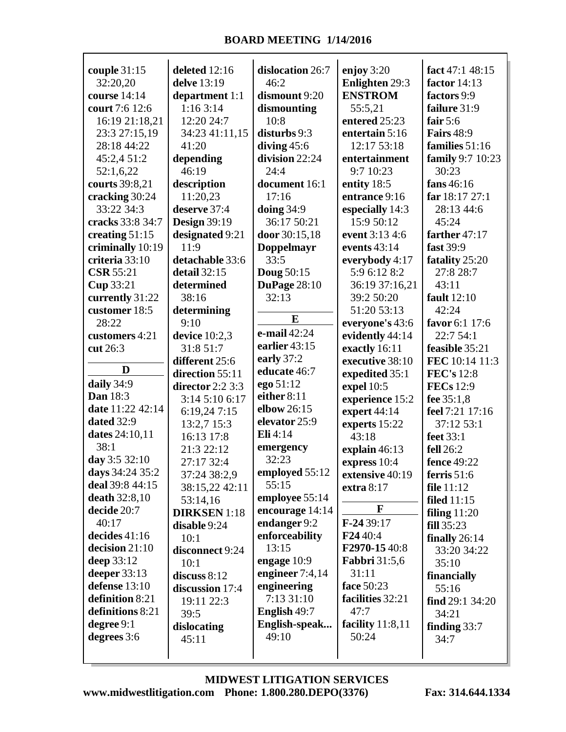$\mathsf{r}$ 

| couple 31:15         | deleted 12:16       | dislocation 26:7    | enjoy $3:20$          | fact 47:1 48:15     |
|----------------------|---------------------|---------------------|-----------------------|---------------------|
| 32:20,20             | delve 13:19         | 46:2                | <b>Enlighten 29:3</b> | factor 14:13        |
| course 14:14         | department 1:1      | dismount 9:20       | <b>ENSTROM</b>        | factors 9:9         |
| court 7:6 12:6       | 1:163:14            | dismounting         | 55:5,21               | failure 31:9        |
| 16:19 21:18,21       | 12:20 24:7          | 10:8                | entered 25:23         | fair $5:6$          |
| 23:3 27:15,19        | 34:23 41:11,15      | disturbs 9:3        | entertain 5:16        | <b>Fairs</b> 48:9   |
| 28:18 44:22          | 41:20               | diving $45:6$       | 12:17 53:18           | families 51:16      |
| 45:2,4 51:2          | depending           | division 22:24      | entertainment         | family 9:7 10:23    |
| 52:1,6,22            | 46:19               | 24:4                | 9:7 10:23             | 30:23               |
| courts 39:8,21       | description         | document 16:1       | entity 18:5           | fans 46:16          |
| cracking 30:24       | 11:20,23            | 17:16               | entrance 9:16         | far 18:17 27:1      |
| 33:22 34:3           | deserve 37:4        | doing $34:9$        | especially 14:3       | 28:13 44:6          |
| cracks 33:8 34:7     | <b>Design 39:19</b> | 36:17 50:21         | 15:9 50:12            | 45:24               |
| creating $51:15$     | designated 9:21     | door 30:15,18       | event 3:13 4:6        | farther 47:17       |
| criminally 10:19     | 11:9                | <b>Doppelmayr</b>   | events $43:14$        | fast 39:9           |
| criteria 33:10       | detachable 33:6     | 33:5                | everybody 4:17        | fatality 25:20      |
| <b>CSR 55:21</b>     | detail $32:15$      | <b>Doug 50:15</b>   | 5:9 6:12 8:2          | 27:8 28:7           |
| Cup 33:21            | determined          | <b>DuPage 28:10</b> | 36:19 37:16,21        | 43:11               |
| currently 31:22      | 38:16               | 32:13               | 39:2 50:20            | fault 12:10         |
| customer 18:5        | determining         |                     | 51:20 53:13           | 42:24               |
| 28:22                | 9:10                | $\bf{E}$            | everyone's 43:6       | favor 6:1 17:6      |
| customers 4:21       | device $10:2,3$     | e-mail 42:24        | evidently 44:14       | 22:7 54:1           |
| cut 26:3             | 31:8 51:7           | earlier 43:15       | exactly 16:11         | feasible 35:21      |
|                      | different 25:6      | early 37:2          | executive 38:10       | FEC 10:14 11:3      |
| D                    | direction 55:11     | educate 46:7        | expedited 35:1        | <b>FEC's</b> 12:8   |
| daily 34:9           | director $2:2\,3:3$ | ego 51:12           | expel 10:5            | <b>FECs</b> 12:9    |
| <b>Dan</b> 18:3      | 3:14 5:10 6:17      | either 8:11         | experience 15:2       | fee 35:1,8          |
| date 11:22 42:14     | 6:19,247:15         | elbow 26:15         | expert $44:14$        | feel 7:21 17:16     |
| dated 32:9           | 13:2,7 15:3         | elevator 25:9       | experts 15:22         | 37:12 53:1          |
| dates 24:10,11       | 16:13 17:8          | Eli 4:14            | 43:18                 | feet 33:1           |
| 38:1                 | 21:3 22:12          | emergency           | explain 46:13         | fell 26:2           |
| day 3:5 32:10        | 27:17 32:4          | 32:23               | express 10:4          | fence 49:22         |
| days 34:24 35:2      | 37:24 38:2,9        | employed 55:12      | extensive 40:19       | ferris $51:6$       |
| deal 39:8 44:15      | 38:15,22 42:11      | 55:15               | extra $8:17$          | file $11:12$        |
| <b>death</b> 32:8,10 | 53:14,16            | employee 55:14      |                       | filed $11:15$       |
| decide 20:7          | <b>DIRKSEN</b> 1:18 | encourage 14:14     | F                     | filing $11:20$      |
| 40:17                | disable 9:24        | endanger 9:2        | $F-2439:17$           | fill 35:23          |
| decides 41:16        | 10:1                | enforceability      | F24 40:4              | finally 26:14       |
| decision $21:10$     | disconnect 9:24     | 13:15               | F2970-1540:8          | 33:20 34:22         |
| deep 33:12           | 10:1                | engage 10:9         | <b>Fabbri</b> 31:5,6  | 35:10               |
| deeper $33:13$       | discuss $8:12$      | engineer 7:4,14     | 31:11                 | financially         |
| defense 13:10        | discussion 17:4     | engineering         | face 50:23            | 55:16               |
| definition 8:21      | 19:11 22:3          | 7:13 31:10          | facilities 32:21      | find $29:1$ $34:20$ |
| definitions 8:21     | 39:5                | English 49:7        | 47:7                  | 34:21               |
| degree $9:1$         | dislocating         | English-speak       | facility $11:8,11$    | finding $33:7$      |
| degrees 3:6          | 45:11               | 49:10               | 50:24                 | 34:7                |
|                      |                     |                     |                       |                     |
|                      |                     |                     |                       |                     |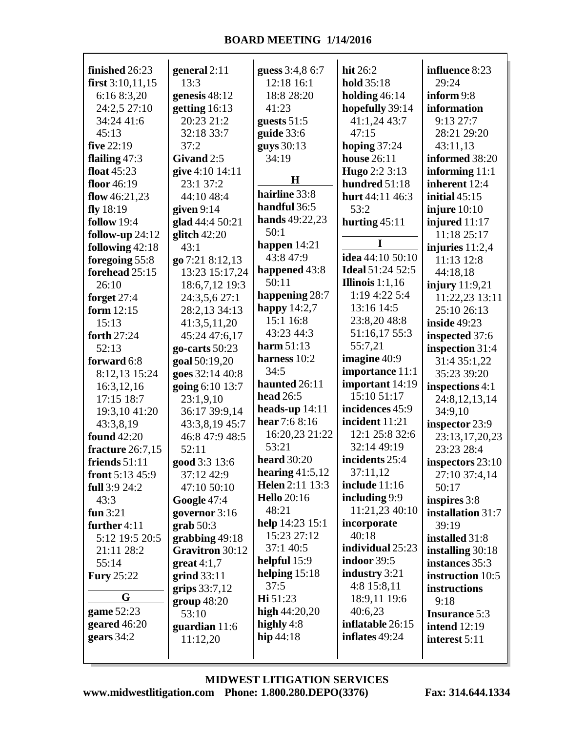г

| finished 26:23     | general 2:11       | guess 3:4,8 6:7        | hit 26:2                 | influence 8:23       |
|--------------------|--------------------|------------------------|--------------------------|----------------------|
| first $3:10,11,15$ | 13:3               | 12:18 16:1             | hold 35:18               | 29:24                |
| 6:16 8:3,20        | genesis 48:12      | 18:8 28:20             | holding $46:14$          | inform 9:8           |
| 24:2,5 27:10       | getting 16:13      | 41:23                  | hopefully 39:14          | information          |
| 34:24 41:6         | 20:23 21:2         | guests $51:5$          | 41:1,24 43:7             | 9:1327:7             |
| 45:13              | 32:18 33:7         | guide $33:6$           | 47:15                    | 28:21 29:20          |
| five $22:19$       | 37:2               | guys 30:13             | hoping $37:24$           | 43:11,13             |
| flailing $47:3$    | Givand 2:5         | 34:19                  | <b>house</b> 26:11       | informed 38:20       |
| float $45:23$      | give 4:10 14:11    | H                      | Hugo 2:2 3:13            | informing 11:1       |
| floor 46:19        | 23:1 37:2          | hairline 33:8          | hundred 51:18            | inherent 12:4        |
| flow $46:21,23$    | 44:10 48:4         | handful 36:5           | hurt 44:11 46:3          | initial $45:15$      |
| fly $18:19$        | given $9:14$       |                        | 53:2                     | injure $10:10$       |
| <b>follow</b> 19:4 | glad 44:4 50:21    | hands 49:22,23<br>50:1 | hurting $45:11$          | injured 11:17        |
| follow-up $24:12$  | glitch $42:20$     |                        | I                        | 11:18 25:17          |
| following 42:18    | 43:1               | happen $14:21$         | idea 44:10 50:10         | injuries $11:2,4$    |
| foregoing 55:8     | go 7:21 8:12,13    | 43:8 47:9              |                          | 11:13 12:8           |
| forehead 25:15     | 13:23 15:17,24     | happened 43:8          | <b>Ideal 51:24 52:5</b>  | 44:18,18             |
| 26:10              | 18:6,7,12 19:3     | 50:11                  | <b>Illinois</b> $1:1,16$ | injury 11:9,21       |
| forget 27:4        | 24:3,5,6 27:1      | happening 28:7         | 1:19 4:22 5:4            | 11:22,23 13:11       |
| form $12:15$       | 28:2,13 34:13      | happy $14:2,7$         | 13:16 14:5               | 25:10 26:13          |
| 15:13              | 41:3,5,11,20       | 15:1 16:8              | 23:8,2048:8              | <b>inside 49:23</b>  |
| forth 27:24        | 45:24 47:6,17      | 43:23 44:3             | 51:16,17 55:3            | inspected 37:6       |
| 52:13              | go-carts $50:23$   | harm $51:13$           | 55:7,21                  | inspection 31:4      |
| forward 6:8        | goal 50:19,20      | harness 10:2           | imagine 40:9             | 31:4 35:1,22         |
| 8:12,13 15:24      | goes 32:14 40:8    | 34:5                   | importance 11:1          | 35:23 39:20          |
| 16:3,12,16         | going 6:10 13:7    | haunted 26:11          | important 14:19          | inspections 4:1      |
| 17:15 18:7         | 23:1,9,10          | <b>head</b> 26:5       | 15:10 51:17              | 24:8,12,13,14        |
| 19:3,10 41:20      | 36:17 39:9,14      | heads-up $14:11$       | incidences 45:9          | 34:9,10              |
| 43:3,8,19          | 43:3,8,19 45:7     | hear $7:68:16$         | incident 11:21           | inspector 23:9       |
| found 42:20        | 46:8 47:9 48:5     | 16:20,23 21:22         | 12:1 25:8 32:6           | 23:13,17,20,23       |
| fracture 26:7,15   | 52:11              | 53:21                  | 32:14 49:19              | 23:23 28:4           |
| friends $51:11$    | good 3:3 13:6      | <b>heard</b> 30:20     | incidents 25:4           | inspectors $23:10$   |
| front $5:13\,45:9$ | 37:12 42:9         | hearing $41:5,12$      | 37:11,12                 | 27:10 37:4,14        |
| full $3:924:2$     | 47:10 50:10        | Helen 2:11 13:3        | include 11:16            | 50:17                |
| 43:3               | <b>Google 47:4</b> | <b>Hello</b> 20:16     | including 9:9            | inspires 3:8         |
| fun $3:21$         | governor 3:16      | 48:21                  | 11:21,23 40:10           | installation 31:7    |
| further 4:11       | $graph 50:3$       | help 14:23 15:1        | incorporate              | 39:19                |
| 5:12 19:5 20:5     | grabbing $49:18$   | 15:23 27:12            | 40:18                    | installed 31:8       |
| 21:11 28:2         | Gravitron 30:12    | 37:1 40:5              | individual 25:23         | installing 30:18     |
| 55:14              | great $4:1,7$      | helpful $15:9$         | indoor 39:5              | instances 35:3       |
| <b>Fury 25:22</b>  | grind $33:11$      | helping $15:18$        | industry 3:21            | instruction 10:5     |
| G                  | grips $33:7,12$    | 37:5                   | $4:8$ 15:8,11            | instructions         |
|                    | group 48:20        | Hi 51:23               | 18:9,11 19:6             | 9:18                 |
| game 52:23         | 53:10              | high 44:20,20          | 40:6,23                  | <b>Insurance 5:3</b> |
| geared 46:20       | guardian 11:6      | highly $4:8$           | inflatable 26:15         | <b>intend</b> 12:19  |
| gears 34:2         | 11:12,20           | hip $44:18$            | inflates 49:24           | interest 5:11        |
|                    |                    |                        |                          |                      |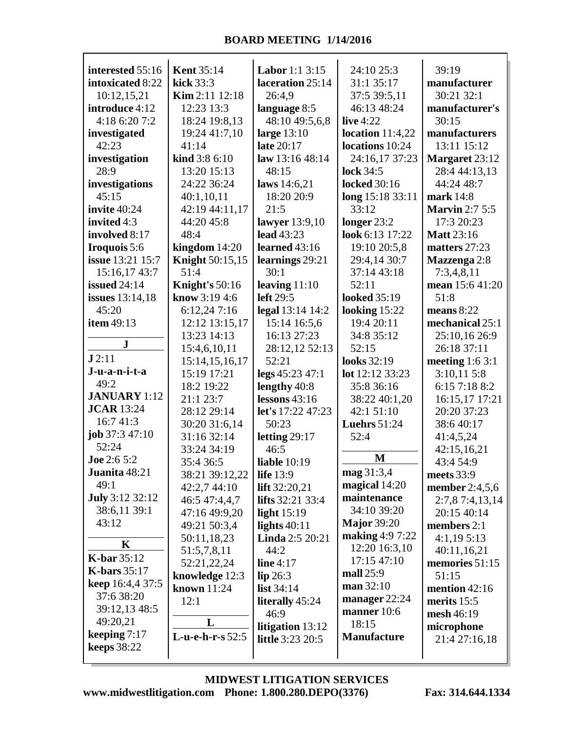| interested 55:16       | <b>Kent 35:14</b>            | <b>Labor</b> 1:1 3:15      | 24:10 25:3          | 39:19                    |
|------------------------|------------------------------|----------------------------|---------------------|--------------------------|
| intoxicated 8:22       | kick 33:3                    | laceration 25:14           | 31:1 35:17          | manufacturer             |
| 10:12,15,21            | Kim 2:11 12:18               | 26:4,9                     | 37:5 39:5,11        | 30:21 32:1               |
| introduce 4:12         | 12:23 13:3                   | language 8:5               | 46:13 48:24         | manufacturer's           |
| 4:18 6:20 7:2          | 18:24 19:8,13                | 48:10 49:5,6,8             | live $4:22$         | 30:15                    |
| investigated           | 19:24 41:7,10                | large $13:10$              | location $11:4,22$  | manufacturers            |
| 42:23                  | 41:14                        | late 20:17                 | locations 10:24     | 13:11 15:12              |
| investigation          | kind 3:8 6:10                | law 13:16 48:14            | 24:16,17 37:23      | Margaret 23:12           |
| 28:9                   | 13:20 15:13                  | 48:15                      | lock 34:5           | 28:4 44:13,13            |
| investigations         | 24:22 36:24                  | laws 14:6,21               | <b>locked</b> 30:16 | 44:24 48:7               |
| 45:15                  | 40:1,10,11                   | 18:20 20:9                 | long 15:18 33:11    | mark 14:8                |
| invite 40:24           | 42:19 44:11,17               | 21:5                       | 33:12               | <b>Marvin 2:7 5:5</b>    |
| invited 4:3            | 44:20 45:8                   | lawyer 13:9,10             | longer 23:2         | 17:3 20:23               |
| involved 8:17          | 48:4                         | <b>lead</b> 43:23          | look 6:13 17:22     | <b>Matt</b> 23:16        |
| Iroquois 5:6           | kingdom $14:20$              | learned 43:16              | 19:10 20:5,8        | matters 27:23            |
| issue 13:21 15:7       | <b>Knight</b> 50:15,15       | learnings 29:21            | 29:4,14 30:7        | Mazzenga 2:8             |
| 15:16,17 43:7          | 51:4                         | 30:1                       | 37:14 43:18         | 7:3,4,8,11               |
| <b>issued</b> 24:14    | Knight's $50:16$             | leaving $11:10$            | 52:11               | mean 15:6 41:20          |
| <b>issues</b> 13:14,18 | know $3:194:6$               | left $29:5$                | <b>looked</b> 35:19 | 51:8                     |
| 45:20                  | 6:12,247:16                  | legal 13:14 14:2           | looking 15:22       | means $8:22$             |
| item 49:13             | 12:12 13:15,17               | 15:14 16:5,6               | 19:4 20:11          | mechanical 25:1          |
| $\bf J$                | 13:23 14:13                  | 16:13 27:23                | 34:8 35:12          | 25:10,16 26:9            |
| J2:11                  | 15:4,6,10,11                 | 28:12,12 52:13             | 52:15               | 26:18 37:11              |
| J-u-a-n-i-t-a          | 15:14,15,16,17               | 52:21                      | looks 32:19         | meeting $1:63:1$         |
| 49:2                   | 15:19 17:21                  | legs 45:23 47:1            | lot 12:12 33:23     | 3:10,115:8               |
| <b>JANUARY</b> 1:12    | 18:2 19:22                   | lengthy 40:8               | 35:8 36:16          | 6:15 7:18 8:2            |
| <b>JCAR</b> 13:24      | 21:1 23:7                    | lessons $43:16$            | 38:22 40:1,20       | 16:15,17 17:21           |
| 16:7 41:3              | 28:12 29:14                  | let's 17:22 47:23<br>50:23 | 42:1 51:10          | 20:20 37:23              |
| job $37:347:10$        | 30:20 31:6,14<br>31:16 32:14 |                            | <b>Luehrs</b> 51:24 | 38:6 40:17               |
| 52:24                  |                              | letting $29:17$            | 52:4                | 41:4,5,24                |
| Joe 2:6 5:2            | 33:24 34:19<br>35:4 36:5     | 46:5<br>liable $10:19$     | M                   | 42:15,16,21<br>43:4 54:9 |
| Juanita 48:21          | 38:21 39:12,22               | <b>life</b> 13:9           | mag 31:3,4          | meets 33:9               |
| 49:1                   | 42:2,7 44:10                 | lift $32:20,21$            | magical 14:20       | member 2:4,5,6           |
| <b>July 3:12 32:12</b> | 46:5 47:4,4,7                | <b>lifts</b> 32:21 33:4    | maintenance         | 2:7,8 7:4,13,14          |
| 38:6,11 39:1           | 47:16 49:9,20                | light $15:19$              | 34:10 39:20         | 20:15 40:14              |
| 43:12                  | 49:21 50:3,4                 | lights $40:11$             | <b>Major 39:20</b>  | members $2:1$            |
|                        | 50:11,18,23                  | Linda 2:5 20:21            | making 4:9 7:22     | 4:1,195:13               |
| K                      | 51:5,7,8,11                  | 44:2                       | 12:20 16:3,10       | 40:11,16,21              |
| <b>K-bar</b> 35:12     | 52:21,22,24                  | line $4:17$                | 17:15 47:10         | memories 51:15           |
| K-bars $35:17$         | knowledge 12:3               | lip 26:3                   | mall 25:9           | 51:15                    |
| keep 16:4,4 37:5       | known 11:24                  | list $34:14$               | man 32:10           | mention $42:16$          |
| 37:6 38:20             | 12:1                         | <b>literally</b> 45:24     | manager $22:24$     | merits $15:5$            |
| 39:12,13 48:5          |                              | 46:9                       | manner $10:6$       | mesh 46:19               |
| 49:20,21               | L                            | litigation 13:12           | 18:15               | microphone               |
| keeping $7:17$         | L-u-e-h-r-s 52:5             | <b>little</b> 3:23 20:5    | <b>Manufacture</b>  | 21:4 27:16,18            |
| keeps $38:22$          |                              |                            |                     |                          |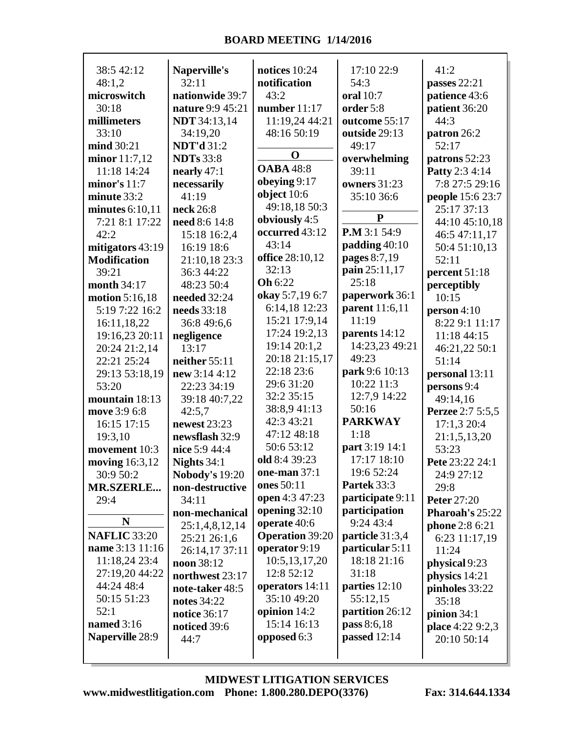| 38:5 42:12             | Naperville's          | notices 10:24          | 17:10 22:9       | 41:2                    |
|------------------------|-----------------------|------------------------|------------------|-------------------------|
| 48:1,2                 | 32:11                 | notification           | 54:3             | passes $22:21$          |
| microswitch            | nationwide 39:7       | 43:2                   | <b>oral</b> 10:7 | patience 43:6           |
| 30:18                  | nature 9:9 45:21      | number $11:17$         | order 5:8        | patient 36:20           |
| millimeters            | <b>NDT</b> 34:13,14   | 11:19,24 44:21         | outcome 55:17    | 44:3                    |
| 33:10                  | 34:19,20              | 48:16 50:19            | outside 29:13    | patron 26:2             |
| mind 30:21             | <b>NDT'd</b> 31:2     |                        | 49:17            | 52:17                   |
| minor 11:7,12          | <b>NDTs</b> 33:8      | $\mathbf 0$            | overwhelming     | patrons 52:23           |
| 11:18 14:24            | nearly $47:1$         | <b>OABA</b> 48:8       | 39:11            | Patty 2:3 4:14          |
| minor's $11:7$         | necessarily           | obeying 9:17           | owners 31:23     | 7:8 27:5 29:16          |
| minute 33:2            | 41:19                 | object $10:6$          | 35:10 36:6       | people 15:6 23:7        |
| minutes $6:10,11$      | neck 26:8             | 49:18,18 50:3          |                  | 25:17 37:13             |
| 7:21 8:1 17:22         | need 8:6 14:8         | obviously 4:5          | ${\bf P}$        | 44:10 45:10,18          |
| 42:2                   | 15:18 16:2,4          | occurred 43:12         | P.M 3:1 54:9     | 46:5 47:11,17           |
| mitigators 43:19       | 16:19 18:6            | 43:14                  | padding 40:10    | 50:4 51:10,13           |
| <b>Modification</b>    | 21:10,18 23:3         | office 28:10,12        | pages 8:7,19     | 52:11                   |
| 39:21                  | 36:3 44:22            | 32:13                  | pain 25:11,17    | percent 51:18           |
| month 34:17            | 48:23 50:4            | <b>Oh</b> 6:22         | 25:18            | perceptibly             |
| motion 5:16,18         | needed 32:24          | okay 5:7,19 6:7        | paperwork 36:1   | 10:15                   |
| 5:19 7:22 16:2         | needs 33:18           | 6:14,18 12:23          | parent 11:6,11   | person $4:10$           |
| 16:11,18,22            | 36:8 49:6,6           | 15:21 17:9,14          | 11:19            | 8:22 9:1 11:17          |
| 19:16,23 20:11         | negligence            | 17:24 19:2,13          | parents 14:12    | 11:18 44:15             |
| 20:24 21:2,14          | 13:17                 | 19:14 20:1,2           | 14:23,23 49:21   | 46:21,22 50:1           |
| 22:21 25:24            | neither 55:11         | 20:18 21:15,17         | 49:23            | 51:14                   |
| 29:13 53:18,19         | new 3:14 4:12         | 22:18 23:6             | park 9:6 10:13   | personal 13:11          |
| 53:20                  | 22:23 34:19           | 29:6 31:20             | 10:22 11:3       | persons 9:4             |
| mountain 18:13         | 39:18 40:7,22         | 32:2 35:15             | 12:7,9 14:22     | 49:14,16                |
| move 3:9 6:8           | 42:5,7                | 38:8,941:13            | 50:16            | <b>Perzee</b> 2:7 5:5,5 |
| 16:15 17:15            | newest 23:23          | 42:3 43:21             | <b>PARKWAY</b>   | 17:1,3 20:4             |
| 19:3,10                | newsflash 32:9        | 47:12 48:18            | 1:18             | 21:1,5,13,20            |
| movement 10:3          | nice 5:9 44:4         | 50:6 53:12             | part 3:19 14:1   | 53:23                   |
| <b>moving</b> 16:3,12  | Nights $34:1$         | old 8:4 39:23          | 17:17 18:10      | Pete 23:22 24:1         |
| 30:9 50:2              | <b>Nobody's 19:20</b> | one-man 37:1           | 19:6 52:24       | 24:9 27:12              |
| <b>MR.SZERLE</b>       | non-destructive       | ones 50:11             | Partek 33:3      | 29:8                    |
| 29:4                   | 34:11                 | open 4:3 47:23         | participate 9:11 | <b>Peter 27:20</b>      |
|                        | non-mechanical        | opening $32:10$        | participation    | Pharoah's 25:22         |
| N                      | 25:1,4,8,12,14        | operate 40:6           | 9:24 43:4        | phone 2:8 6:21          |
| <b>NAFLIC 33:20</b>    | 25:21 26:1,6          | <b>Operation 39:20</b> | particle 31:3,4  | 6:23 11:17,19           |
| name 3:13 11:16        | 26:14,17 37:11        | operator 9:19          | particular 5:11  | 11:24                   |
| 11:18,24 23:4          | noon 38:12            | 10:5,13,17,20          | 18:18 21:16      | physical 9:23           |
| 27:19,20 44:22         | northwest 23:17       | 12:8 52:12             | 31:18            | physics 14:21           |
| 44:24 48:4             | note-taker 48:5       | operators 14:11        | parties 12:10    | pinholes 33:22          |
| 50:15 51:23            | notes 34:22           | 35:10 49:20            | 55:12,15         | 35:18                   |
| 52:1                   | notice 36:17          | opinion $14:2$         | partition 26:12  | pinion $34:1$           |
| named 3:16             | noticed 39:6          | 15:14 16:13            | pass 8:6,18      | place 4:22 9:2,3        |
| <b>Naperville 28:9</b> | 44:7                  | opposed 6:3            | passed $12:14$   | 20:10 50:14             |
|                        |                       |                        |                  |                         |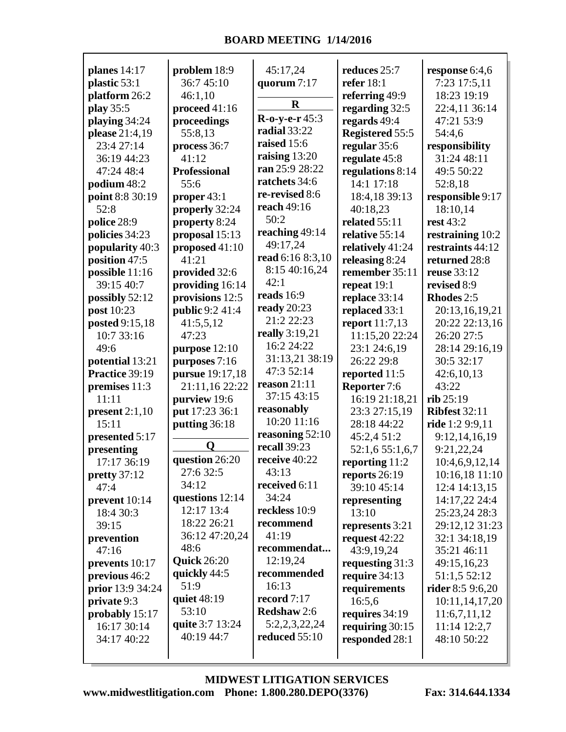| planes $14:17$             | problem 18:9        | 45:17,24                     | reduces 25:7                     | response 6:4,6                 |
|----------------------------|---------------------|------------------------------|----------------------------------|--------------------------------|
| plastic 53:1               | 36:7 45:10          | quorum 7:17                  | refer $18:1$                     | 7:23 17:5,11                   |
| platform 26:2              | 46:1,10             |                              | referring 49:9                   | 18:23 19:19                    |
| play 35:5                  | proceed 41:16       | $\mathbf R$                  | regarding 32:5                   | 22:4,11 36:14                  |
| playing 34:24              | proceedings         | $R-0-y-e-r 45:3$             | regards 49:4                     | 47:21 53:9                     |
| please 21:4,19             | 55:8,13             | <b>radial</b> 33:22          | <b>Registered 55:5</b>           | 54:4,6                         |
| 23:4 27:14                 | process 36:7        | raised 15:6                  | regular 35:6                     | responsibility                 |
| 36:19 44:23                | 41:12               | raising 13:20                | regulate 45:8                    | 31:24 48:11                    |
| 47:24 48:4                 | <b>Professional</b> | ran 25:9 28:22               | regulations 8:14                 | 49:5 50:22                     |
| podium 48:2                | 55:6                | ratchets 34:6                | 14:1 17:18                       | 52:8,18                        |
| point 8:8 30:19            | proper 43:1         | re-revised 8:6               | 18:4,18 39:13                    | responsible 9:17               |
| 52:8                       | properly 32:24      | reach 49:16                  | 40:18,23                         | 18:10,14                       |
| police 28:9                | property 8:24       | 50:2                         | related 55:11                    | rest 43:2                      |
| policies 34:23             | proposal 15:13      | reaching 49:14               | relative 55:14                   | restraining 10:2               |
| popularity 40:3            | proposed 41:10      | 49:17,24                     | relatively 41:24                 | restraints 44:12               |
| position 47:5              | 41:21               | read 6:16 8:3,10             | releasing 8:24                   | returned 28:8                  |
| possible 11:16             | provided 32:6       | 8:15 40:16,24                | remember 35:11                   | reuse 33:12                    |
| 39:15 40:7                 | providing 16:14     | 42:1                         | repeat 19:1                      | revised 8:9                    |
| possibly 52:12             | provisions 12:5     | reads 16:9                   | replace 33:14                    | Rhodes 2:5                     |
| post 10:23                 | public 9:2 41:4     | ready $20:23$<br>21:2 22:23  | replaced 33:1                    | 20:13,16,19,21                 |
| posted 9:15,18             | 41:5,5,12           |                              | report 11:7,13                   | 20:22 22:13,16                 |
| 10:7 33:16                 | 47:23               | really 3:19,21               | 11:15,20 22:24                   | 26:20 27:5                     |
| 49:6                       | purpose 12:10       | 16:2 24:22                   | 23:1 24:6,19                     | 28:14 29:16,19                 |
| potential 13:21            | purposes 7:16       | 31:13,21 38:19<br>47:3 52:14 | 26:22 29:8                       | 30:5 32:17                     |
| Practice 39:19             | pursue 19:17,18     | reason $21:11$               | reported 11:5                    | 42:6,10,13                     |
| premises 11:3              | 21:11,16 22:22      | 37:15 43:15                  | Reporter 7:6                     | 43:22                          |
| 11:11                      | purview 19:6        | reasonably                   | 16:19 21:18,21                   | $rib$ 25:19                    |
| present $2:1,10$           | put 17:23 36:1      | 10:20 11:16                  | 23:3 27:15,19                    | <b>Ribfest 32:11</b>           |
| 15:11                      | putting 36:18       | reasoning 52:10              | 28:18 44:22                      | ride 1:2 9:9,11                |
| presented 5:17             | O                   | recall 39:23                 | 45:2,4 51:2                      | 9:12,14,16,19                  |
| presenting                 | question 26:20      | receive 40:22                | 52:1,6 55:1,6,7                  | 9:21,22,24                     |
| 17:17 36:19                | 27:6 32:5           | 43:13                        | reporting 11:2                   | 10:4,6,9,12,14                 |
| pretty 37:12               | 34:12               | received 6:11                | reports 26:19                    | 10:16,18 11:10                 |
| 47:4                       | questions 12:14     | 34:24                        | 39:10 45:14                      | 12:4 14:13,15                  |
| prevent 10:14<br>18:4 30:3 | 12:17 13:4          | reckless 10:9                | representing                     | 14:17,22 24:4<br>25:23,24 28:3 |
|                            | 18:22 26:21         | recommend                    | 13:10                            | 29:12,12 31:23                 |
| 39:15                      | 36:12 47:20,24      | 41:19                        | represents 3:21<br>request 42:22 |                                |
| prevention<br>47:16        | 48:6                | recommendat                  | 43:9,19,24                       | 32:1 34:18,19<br>35:21 46:11   |
| prevents 10:17             | <b>Quick</b> 26:20  | 12:19,24                     | requesting $31:3$                | 49:15,16,23                    |
| previous 46:2              | quickly 44:5        | recommended                  | require $34:13$                  | 51:1,5 52:12                   |
| prior 13:9 34:24           | 51:9                | 16:13                        | requirements                     | <b>rider</b> 8:5 9:6,20        |
| private 9:3                | quiet 48:19         | record $7:17$                | 16:5,6                           | 10:11,14,17,20                 |
| probably 15:17             | 53:10               | <b>Redshaw</b> 2:6           | requires 34:19                   | 11:6,7,11,12                   |
| 16:17 30:14                | quite 3:7 13:24     | 5:2,2,3,22,24                | requiring $30:15$                | 11:14 12:2,7                   |
| 34:17 40:22                | 40:19 44:7          | reduced $55:10$              | responded 28:1                   | 48:10 50:22                    |
|                            |                     |                              |                                  |                                |
|                            |                     |                              |                                  |                                |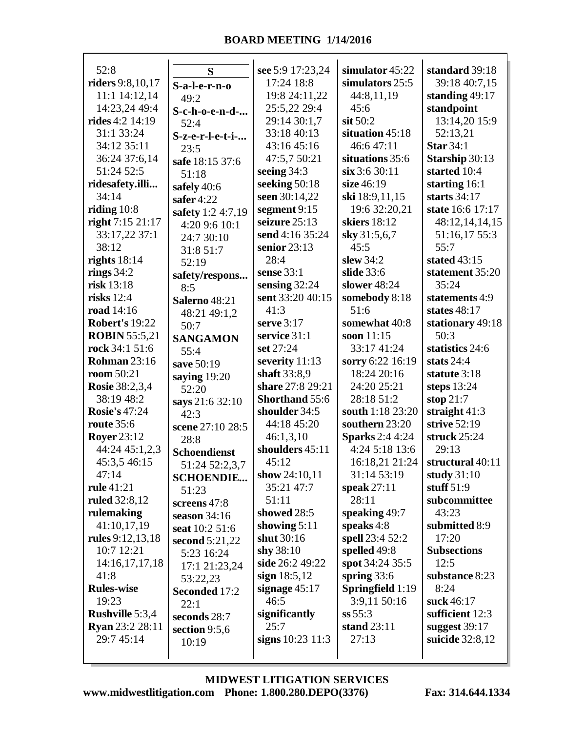| 52:8                      |                       | see 5:9 17:23,24   | simulator 45:22        | standard 39:18     |
|---------------------------|-----------------------|--------------------|------------------------|--------------------|
| <b>riders</b> 9:8, 10, 17 | S                     | 17:24 18:8         | simulators 25:5        | 39:18 40:7,15      |
| 11:1 14:12,14             | S-a-l-e-r-n-o         | 19:8 24:11,22      | 44:8,11,19             | standing $49:17$   |
| 14:23,24 49:4             | 49:2                  | 25:5,22 29:4       | 45:6                   | standpoint         |
| <b>rides</b> 4:2 14:19    | S-c-h-o-e-n-d-        | 29:14 30:1,7       | $s$ it 50:2            | 13:14,20 15:9      |
| 31:1 33:24                | 52:4                  | 33:18 40:13        | situation 45:18        | 52:13,21           |
| 34:12 35:11               | S-z-e-r-l-e-t-i-      | 43:16 45:16        | 46:6 47:11             | <b>Star 34:1</b>   |
| 36:24 37:6,14             | 23:5                  | 47:5,7 50:21       | situations 35:6        | Starship 30:13     |
| 51:24 52:5                | safe 18:15 37:6       | seeing $34:3$      | $\sin 3:630:11$        | started 10:4       |
| ridesafety.illi           | 51:18                 | seeking 50:18      | size 46:19             | starting 16:1      |
| 34:14                     | safely 40:6           | seen 30:14,22      | ski 18:9,11,15         | starts $34:17$     |
| riding $10:8$             | safer $4:22$          | segment 9:15       | 19:6 32:20,21          | state 16:6 17:17   |
| right 7:15 21:17          | safety 1:2 4:7,19     | seizure 25:13      | skiers 18:12           | 48:12,14,14,15     |
| 33:17,22 37:1             | 4:20 9:6 10:1         | send 4:16 35:24    | sky 31:5,6,7           | 51:16,17 55:3      |
| 38:12                     | 24:7 30:10            | senior $23:13$     | 45:5                   | 55:7               |
| rights $18:14$            | 31:8 51:7             | 28:4               | slew 34:2              | stated 43:15       |
| rings $34:2$              | 52:19                 | sense 33:1         | slide 33:6             | statement 35:20    |
| risk 13:18                | safety/respons        | sensing $32:24$    | slower 48:24           | 35:24              |
| risks $12:4$              | 8:5                   | sent 33:20 40:15   | somebody 8:18          | statements 4:9     |
| road 14:16                | <b>Salerno 48:21</b>  | 41:3               | 51:6                   | states $48:17$     |
| <b>Robert's 19:22</b>     | 48:21 49:1,2          | serve $3:17$       | somewhat 40:8          | stationary 49:18   |
| <b>ROBIN</b> 55:5,21      | 50:7                  | service 31:1       | soon 11:15             | 50:3               |
| rock 34:1 51:6            | <b>SANGAMON</b>       | set 27:24          | 33:17 41:24            | statistics 24:6    |
| <b>Rohman 23:16</b>       | 55:4<br>save 50:19    | severity 11:13     | sorry 6:22 16:19       | stats $24:4$       |
| room 50:21                |                       | shaft 33:8,9       | 18:24 20:16            | statute 3:18       |
| <b>Rosie</b> 38:2,3,4     | saying 19:20<br>52:20 | share 27:8 29:21   | 24:20 25:21            | steps $13:24$      |
| 38:19 48:2                | says 21:6 32:10       | Shorthand 55:6     | 28:18 51:2             | stop $21:7$        |
| <b>Rosie's 47:24</b>      | 42:3                  | shoulder 34:5      | south 1:18 23:20       | straight $41:3$    |
| <b>route</b> 35:6         | scene 27:10 28:5      | 44:18 45:20        | southern 23:20         | strive 52:19       |
| <b>Royer</b> 23:12        | 28:8                  | 46:1,3,10          | <b>Sparks</b> 2:4 4:24 | struck $25:24$     |
| 44:24 45:1,2,3            | <b>Schoendienst</b>   | shoulders 45:11    | 4:24 5:18 13:6         | 29:13              |
| 45:3,5 46:15              | 51:24 52:2,3,7        | 45:12              | 16:18,21 21:24         | structural 40:11   |
| 47:14                     | <b>SCHOENDIE</b>      | show 24:10,11      | 31:14 53:19            | study 31:10        |
| rule 41:21                | 51:23                 | 35:21 47:7         | speak 27:11            | stuff $51:9$       |
| <b>ruled</b> 32:8,12      | screens 47:8          | 51:11              | 28:11                  | subcommittee       |
| rulemaking                | season $34:16$        | showed 28:5        | speaking 49:7          | 43:23              |
| 41:10,17,19               | seat 10:2 51:6        | showing $5:11$     | speaks 4:8             | submitted 8:9      |
| rules 9:12,13,18          | second 5:21,22        | shut 30:16         | spell 23:4 52:2        | 17:20              |
| 10:7 12:21                | 5:23 16:24            | shy $38:10$        | spelled 49:8           | <b>Subsections</b> |
| 14:16,17,17,18            | 17:1 21:23,24         | side 26:2 49:22    | spot 34:24 35:5        | 12:5               |
| 41:8                      | 53:22,23              | sign $18:5,12$     | spring $33:6$          | substance 8:23     |
| <b>Rules-wise</b>         | Seconded 17:2         | signage $45:17$    | Springfield 1:19       | 8:24               |
| 19:23                     | 22:1                  | 46:5               | 3:9,11 50:16           | suck 46:17         |
| <b>Rushville</b> 5:3,4    | seconds 28:7          | significantly      | ss 55:3                | sufficient 12:3    |
| <b>Ryan</b> 23:2 28:11    | section 9:5,6         | 25:7               | stand 23:11            | suggest $39:17$    |
| 29:7 45:14                | 10:19                 | signs $10:23$ 11:3 | 27:13                  | suicide 32:8,12    |
|                           |                       |                    |                        |                    |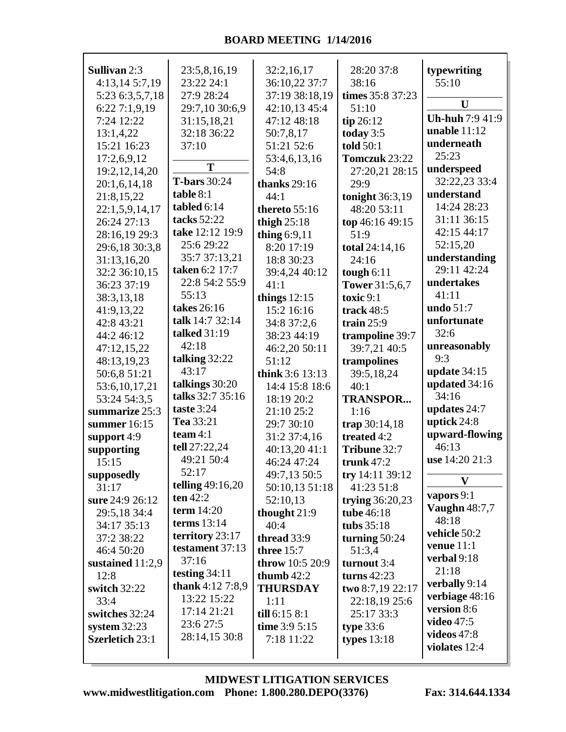| <b>Sullivan 2:3</b>    | 23:5,8,16,19        | 32:2,16,17                 | 28:20 37:8                   | typewriting            |
|------------------------|---------------------|----------------------------|------------------------------|------------------------|
| 4:13,14 5:7,19         | 23:22 24:1          | 36:10,22 37:7              | 38:16                        | 55:10                  |
| 5:23 6:3,5,7,18        | 27:9 28:24          | 37:19 38:18,19             | times 35:8 37:23             | U                      |
| 6:227:1,9,19           | 29:7,10 30:6,9      | 42:10,13 45:4              | 51:10                        | <b>Uh-huh 7:9 41:9</b> |
| 7:24 12:22             | 31:15,18,21         | 47:12 48:18                | $tip$ 26:12                  | unable $11:12$         |
| 13:1,4,22              | 32:18 36:22         | 50:7,8,17                  | today 3:5                    | underneath             |
| 15:21 16:23            | 37:10               | 51:21 52:6                 | <b>told</b> 50:1             | 25:23                  |
| 17:2,6,9,12            | T                   | 53:4,6,13,16               | Tomczuk 23:22                | underspeed             |
| 19:2, 12, 14, 20       | <b>T-bars</b> 30:24 | 54:8                       | 27:20,21 28:15               | 32:22,23 33:4          |
| 20:1,6,14,18           | table 8:1           | thanks $29:16$             | 29:9                         | understand             |
| 21:8,15,22             | tabled 6:14         | 44:1                       | tonight 36:3,19              | 14:24 28:23            |
| 22:1,5,9,14,17         | tacks 52:22         | thereto $55:16$            | 48:20 53:11                  | 31:11 36:15            |
| 26:24 27:13            | take 12:12 19:9     | thigh $25:18$              | top 46:16 49:15              | 42:15 44:17            |
| 28:16,19 29:3          | 25:6 29:22          | thing $6:9,11$             | 51:9                         | 52:15,20               |
| 29:6,18 30:3,8         | 35:7 37:13,21       | 8:20 17:19                 | total 24:14,16               | understanding          |
| 31:13,16,20            | taken 6:2 17:7      | 18:8 30:23                 | 24:16                        | 29:11 42:24            |
| 32:2 36:10,15          | 22:8 54:2 55:9      | 39:4,24 40:12              | tough $6:11$                 | undertakes             |
| 36:23 37:19            | 55:13               | 41:1                       | <b>Tower</b> 31:5,6,7        | 41:11                  |
| 38:3,13,18             | takes 26:16         | things $12:15$             | toxic 9:1                    | undo 51:7              |
| 41:9,13,22             | talk 14:7 32:14     | 15:2 16:16                 | track $48:5$                 | unfortunate            |
| 42:8 43:21             | talked 31:19        | 34:8 37:2,6                | train $25:9$                 | 32:6                   |
| 44:2 46:12             | 42:18               | 38:23 44:19                | trampoline 39:7              | unreasonably           |
| 47:12,15,22            | talking 32:22       | 46:2,20 50:11              | 39:7,21 40:5                 | 9:3                    |
| 48:13,19,23            | 43:17               | 51:12                      | trampolines                  | update $34:15$         |
| 50:6,8 51:21           | talkings 30:20      | think 3:6 13:13            | 39:5,18,24                   | updated 34:16          |
| 53:6, 10, 17, 21       | talks 32:7 35:16    | 14:4 15:8 18:6             | 40:1                         | 34:16                  |
| 53:24 54:3,5           | taste 3:24          | 18:19 20:2                 | <b>TRANSPOR</b>              | updates 24:7           |
| summarize 25:3         | Tea 33:21           | 21:10 25:2                 | 1:16                         | uptick 24:8            |
| summer 16:15           | team $4:1$          | 29:7 30:10<br>31:2 37:4,16 | trap 30:14,18<br>treated 4:2 | upward-flowing         |
| support 4:9            | tell 27:22,24       | 40:13,20 41:1              | Tribune 32:7                 | 46:13                  |
| supporting<br>15:15    | 49:21 50:4          | 46:24 47:24                | trunk $47:2$                 | use 14:20 21:3         |
| supposedly             | 52:17               | 49:7,13 50:5               | try 14:11 39:12              |                        |
| 31:17                  | telling $49:16,20$  | 50:10,13 51:18             | 41:23 51:8                   | $\mathbf{V}$           |
| sure 24:9 26:12        | ten 42:2            | 52:10,13                   | trying $36:20,23$            | vapors 9:1             |
| 29:5,18 34:4           | term $14:20$        | thought $21:9$             | tube 46:18                   | <b>Vaughn</b> 48:7,7   |
| 34:17 35:13            | terms $13:14$       | 40:4                       | tubs $35:18$                 | 48:18                  |
| 37:2 38:22             | territory 23:17     | thread 33:9                | turning $50:24$              | vehicle 50:2           |
| 46:4 50:20             | testament 37:13     | three $15:7$               | 51:3,4                       | venue $11:1$           |
| sustained $11:2,9$     | 37:16               | throw 10:5 20:9            | turnout 3:4                  | verbal 9:18            |
| 12:8                   | testing $34:11$     | thumb $42:2$               | turns $42:23$                | 21:18                  |
| switch 32:22           | thank 4:12 7:8,9    | <b>THURSDAY</b>            | two 8:7,19 22:17             | verbally 9:14          |
| 33:4                   | 13:22 15:22         | 1:11                       | 22:18,19 25:6                | verbiage 48:16         |
| switches 32:24         | 17:14 21:21         | till 6:15 8:1              | 25:17 33:3                   | version 8:6            |
| system $32:23$         | 23:6 27:5           | time $3:95:15$             | type $33:6$                  | video $47:5$           |
| <b>Szerletich 23:1</b> | 28:14,15 30:8       | 7:18 11:22                 | types $13:18$                | videos $47:8$          |
|                        |                     |                            |                              | violates 12:4          |

**www.midwestlitigation.com Phone: 1.800.280.DEPO(3376) Fax: 314.644.1334 MIDWEST LITIGATION SERVICES**